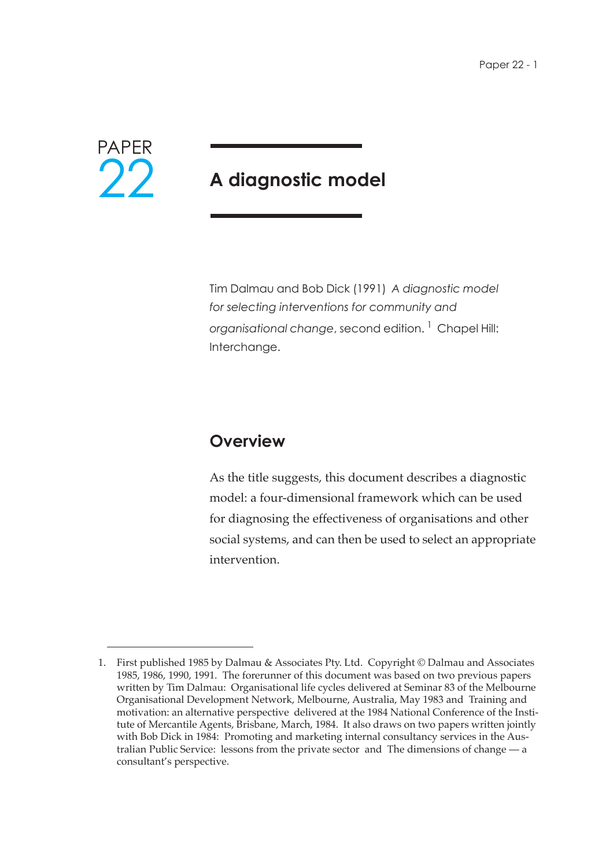

# **A diagnostic model**

Tim Dalmau and Bob Dick (1991) *A diagnostic model for selecting interventions for community and organisational change*, second edition. 1 Chapel Hill: Interchange.

# **Overview**

As the title suggests, this document describes a diagnostic model: a four-dimensional framework which can be used for diagnosing the effectiveness of organisations and other social systems, and can then be used to select an appropriate intervention.

<sup>1.</sup> First published 1985 by Dalmau & Associates Pty. Ltd. Copyright © Dalmau and Associates 1985, 1986, 1990, 1991. The forerunner of this document was based on two previous papers written by Tim Dalmau: Organisational life cycles delivered at Seminar 83 of the Melbourne Organisational Development Network, Melbourne, Australia, May 1983 and Training and motivation: an alternative perspective delivered at the 1984 National Conference of the Institute of Mercantile Agents, Brisbane, March, 1984. It also draws on two papers written jointly with Bob Dick in 1984: Promoting and marketing internal consultancy services in the Australian Public Service: lessons from the private sector and The dimensions of change — a consultant's perspective.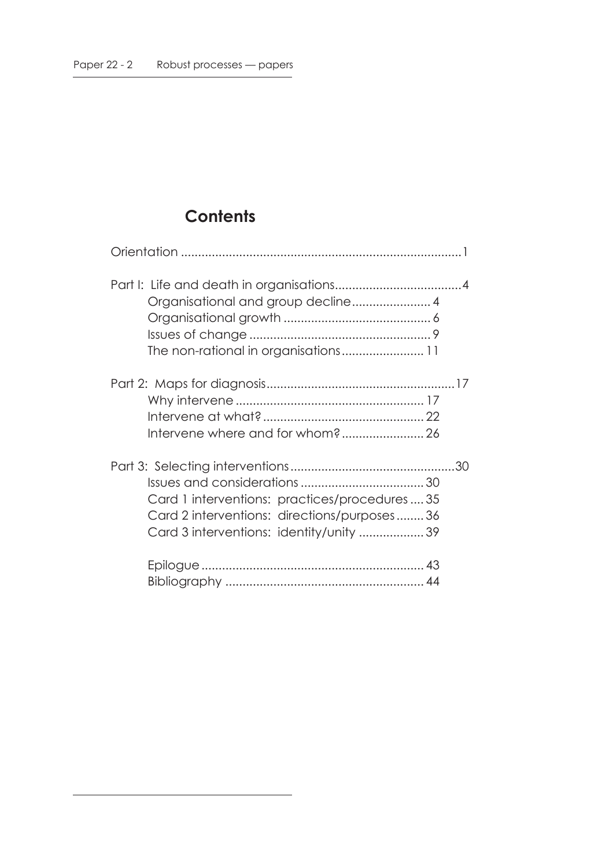# **Contents**

| Card 1 interventions: practices/procedures35<br>Card 2 interventions: directions/purposes36<br>Card 3 interventions: identity/unity 39 |
|----------------------------------------------------------------------------------------------------------------------------------------|
|                                                                                                                                        |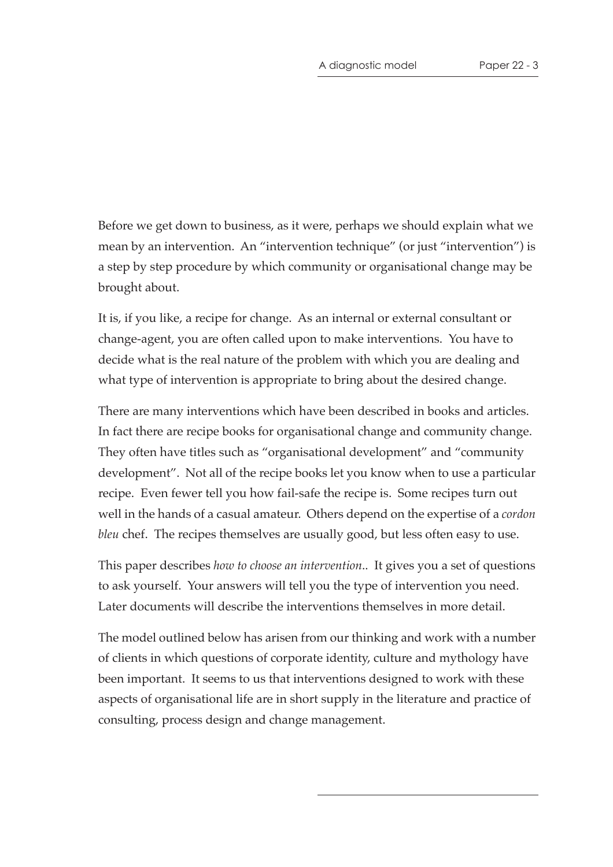Before we get down to business, as it were, perhaps we should explain what we mean by an intervention. An "intervention technique" (or just "intervention") is a step by step procedure by which community or organisational change may be brought about.

It is, if you like, a recipe for change. As an internal or external consultant or change-agent, you are often called upon to make interventions. You have to decide what is the real nature of the problem with which you are dealing and what type of intervention is appropriate to bring about the desired change.

There are many interventions which have been described in books and articles. In fact there are recipe books for organisational change and community change. They often have titles such as "organisational development" and "community development". Not all of the recipe books let you know when to use a particular recipe. Even fewer tell you how fail-safe the recipe is. Some recipes turn out well in the hands of a casual amateur. Others depend on the expertise of a *cordon bleu* chef. The recipes themselves are usually good, but less often easy to use.

This paper describes *how to choose an intervention*.. It gives you a set of questions to ask yourself. Your answers will tell you the type of intervention you need. Later documents will describe the interventions themselves in more detail.

The model outlined below has arisen from our thinking and work with a number of clients in which questions of corporate identity, culture and mythology have been important. It seems to us that interventions designed to work with these aspects of organisational life are in short supply in the literature and practice of consulting, process design and change management.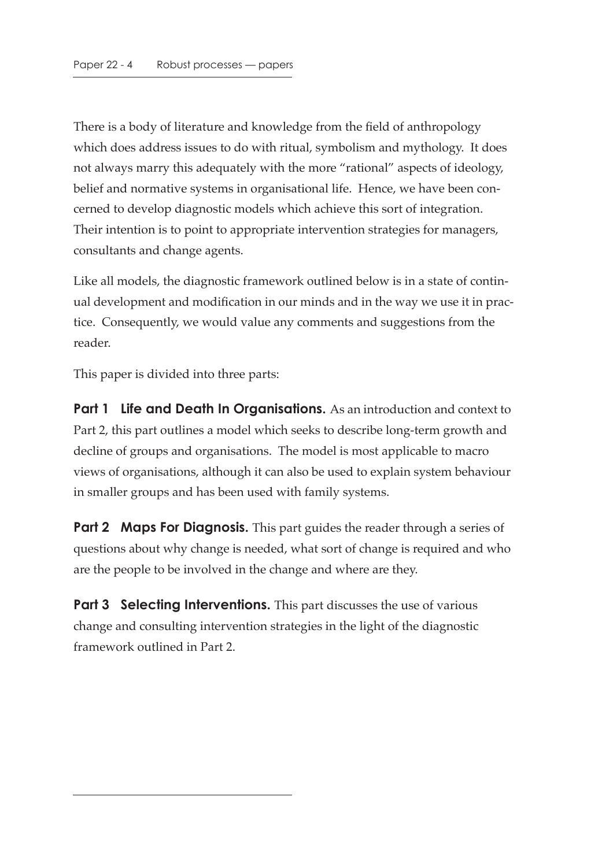There is a body of literature and knowledge from the field of anthropology which does address issues to do with ritual, symbolism and mythology. It does not always marry this adequately with the more "rational" aspects of ideology, belief and normative systems in organisational life. Hence, we have been concerned to develop diagnostic models which achieve this sort of integration. Their intention is to point to appropriate intervention strategies for managers, consultants and change agents.

Like all models, the diagnostic framework outlined below is in a state of continual development and modification in our minds and in the way we use it in practice. Consequently, we would value any comments and suggestions from the reader.

This paper is divided into three parts:

**Part 1 Life and Death In Organisations.** As an introduction and context to Part 2, this part outlines a model which seeks to describe long-term growth and decline of groups and organisations. The model is most applicable to macro views of organisations, although it can also be used to explain system behaviour in smaller groups and has been used with family systems.

**Part 2 Maps For Diagnosis.** This part guides the reader through a series of questions about why change is needed, what sort of change is required and who are the people to be involved in the change and where are they.

**Part 3 Selecting Interventions.** This part discusses the use of various change and consulting intervention strategies in the light of the diagnostic framework outlined in Part 2.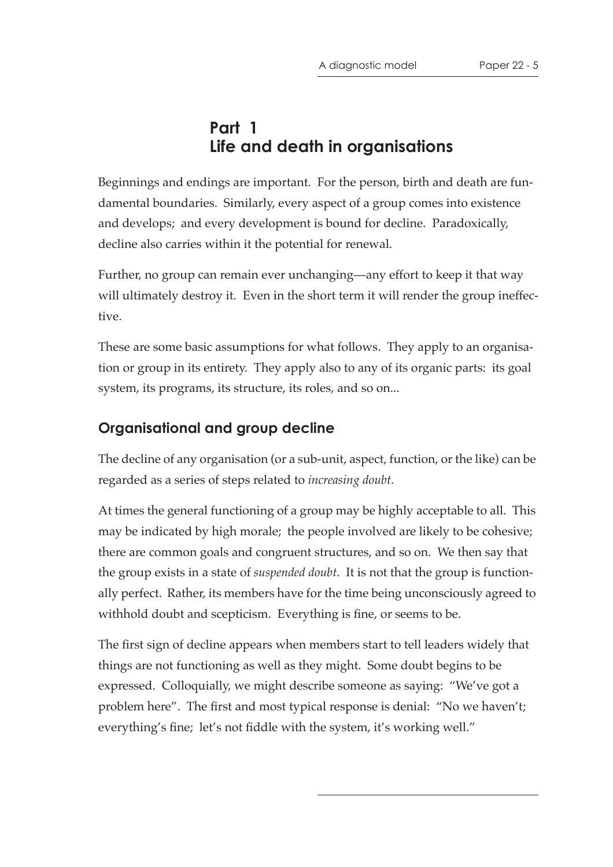# **Part 1 Life and death in organisations**

Beginnings and endings are important. For the person, birth and death are fundamental boundaries. Similarly, every aspect of a group comes into existence and develops; and every development is bound for decline. Paradoxically, decline also carries within it the potential for renewal.

Further, no group can remain ever unchanging—any effort to keep it that way will ultimately destroy it. Even in the short term it will render the group ineffective.

These are some basic assumptions for what follows. They apply to an organisation or group in its entirety. They apply also to any of its organic parts: its goal system, its programs, its structure, its roles, and so on...

### **Organisational and group decline**

The decline of any organisation (or a sub-unit, aspect, function, or the like) can be regarded as a series of steps related to *increasing doubt*.

At times the general functioning of a group may be highly acceptable to all. This may be indicated by high morale; the people involved are likely to be cohesive; there are common goals and congruent structures, and so on. We then say that the group exists in a state of *suspended doubt*. It is not that the group is functionally perfect. Rather, its members have for the time being unconsciously agreed to withhold doubt and scepticism. Everything is fine, or seems to be.

The first sign of decline appears when members start to tell leaders widely that things are not functioning as well as they might. Some doubt begins to be expressed. Colloquially, we might describe someone as saying: "We've got a problem here". The first and most typical response is denial: "No we haven't; everything's fine; let's not fiddle with the system, it's working well."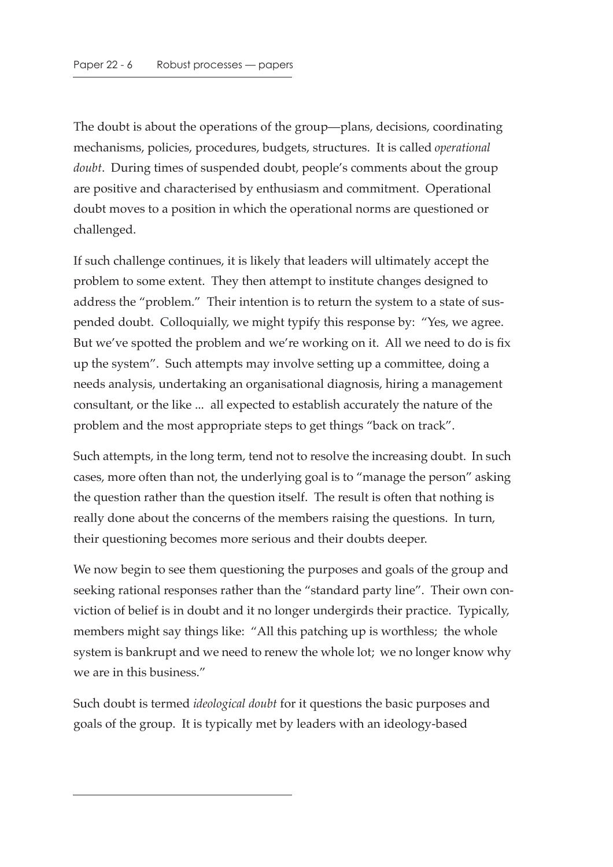The doubt is about the operations of the group—plans, decisions, coordinating mechanisms, policies, procedures, budgets, structures. It is called *operational doubt*. During times of suspended doubt, people's comments about the group are positive and characterised by enthusiasm and commitment. Operational doubt moves to a position in which the operational norms are questioned or challenged.

If such challenge continues, it is likely that leaders will ultimately accept the problem to some extent. They then attempt to institute changes designed to address the "problem." Their intention is to return the system to a state of suspended doubt. Colloquially, we might typify this response by: "Yes, we agree. But we've spotted the problem and we're working on it. All we need to do is fix up the system". Such attempts may involve setting up a committee, doing a needs analysis, undertaking an organisational diagnosis, hiring a management consultant, or the like ... all expected to establish accurately the nature of the problem and the most appropriate steps to get things "back on track".

Such attempts, in the long term, tend not to resolve the increasing doubt. In such cases, more often than not, the underlying goal is to "manage the person" asking the question rather than the question itself. The result is often that nothing is really done about the concerns of the members raising the questions. In turn, their questioning becomes more serious and their doubts deeper.

We now begin to see them questioning the purposes and goals of the group and seeking rational responses rather than the "standard party line". Their own conviction of belief is in doubt and it no longer undergirds their practice. Typically, members might say things like: "All this patching up is worthless; the whole system is bankrupt and we need to renew the whole lot; we no longer know why we are in this business."

Such doubt is termed *ideological doubt* for it questions the basic purposes and goals of the group. It is typically met by leaders with an ideology-based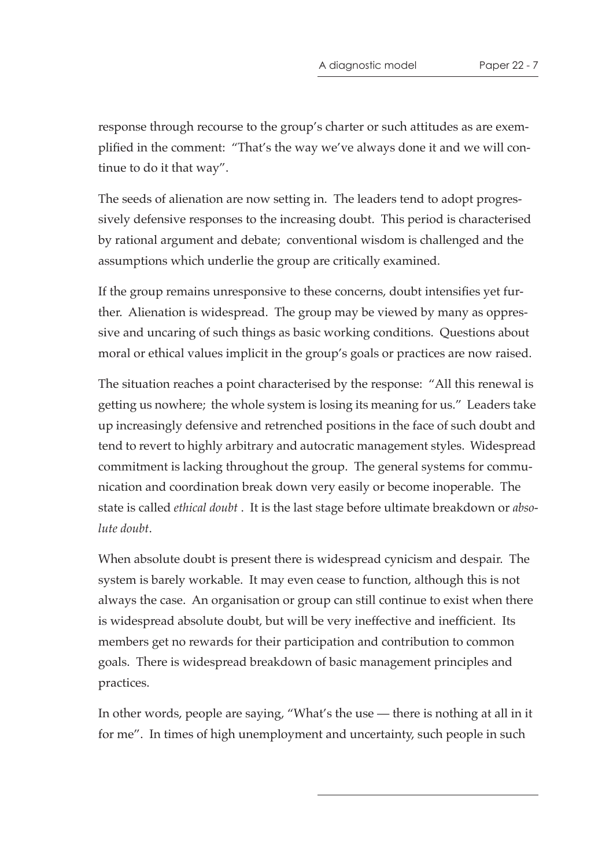response through recourse to the group's charter or such attitudes as are exemplified in the comment: "That's the way we've always done it and we will continue to do it that way".

The seeds of alienation are now setting in. The leaders tend to adopt progressively defensive responses to the increasing doubt. This period is characterised by rational argument and debate; conventional wisdom is challenged and the assumptions which underlie the group are critically examined.

If the group remains unresponsive to these concerns, doubt intensifies yet further. Alienation is widespread. The group may be viewed by many as oppressive and uncaring of such things as basic working conditions. Questions about moral or ethical values implicit in the group's goals or practices are now raised.

The situation reaches a point characterised by the response: "All this renewal is getting us nowhere; the whole system is losing its meaning for us." Leaders take up increasingly defensive and retrenched positions in the face of such doubt and tend to revert to highly arbitrary and autocratic management styles. Widespread commitment is lacking throughout the group. The general systems for communication and coordination break down very easily or become inoperable. The state is called *ethical doubt* . It is the last stage before ultimate breakdown or *absolute doubt*.

When absolute doubt is present there is widespread cynicism and despair. The system is barely workable. It may even cease to function, although this is not always the case. An organisation or group can still continue to exist when there is widespread absolute doubt, but will be very ineffective and inefficient. Its members get no rewards for their participation and contribution to common goals. There is widespread breakdown of basic management principles and practices.

In other words, people are saying, "What's the use — there is nothing at all in it for me". In times of high unemployment and uncertainty, such people in such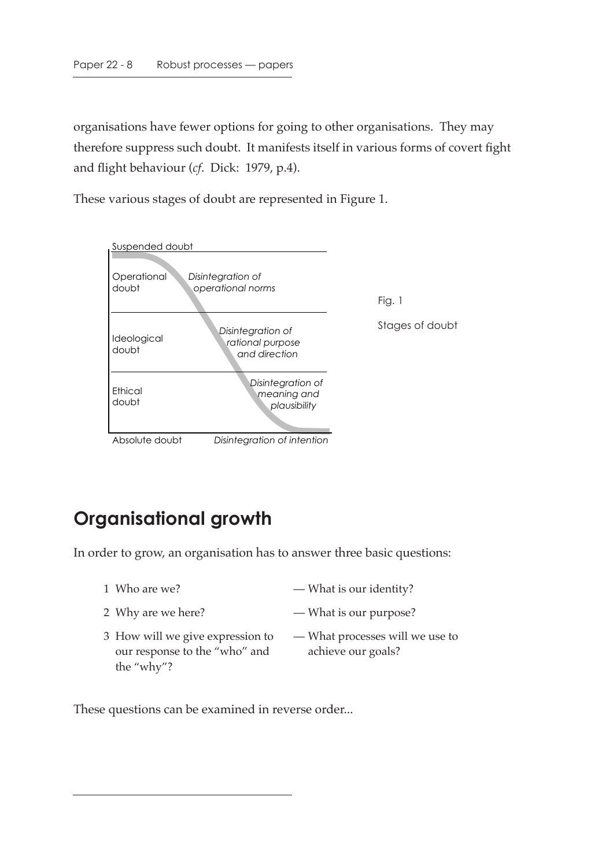organisations have fewer options for going to other organisations. They may therefore suppress such doubt. It manifests itself in various forms of covert fight and flight behaviour (*cf*. Dick: 1979, p.4).

These various stages of doubt are represented in Figure 1.



# **Organisational growth**

In order to grow, an organisation has to answer three basic questions:

- 
- 1 Who are we? What is our identity?
- 2 Why are we here? What is our purpose?
- 3 How will we give expression to our response to the "who" and the "why"? — What processes will we use to achieve our goals?

These questions can be examined in reverse order...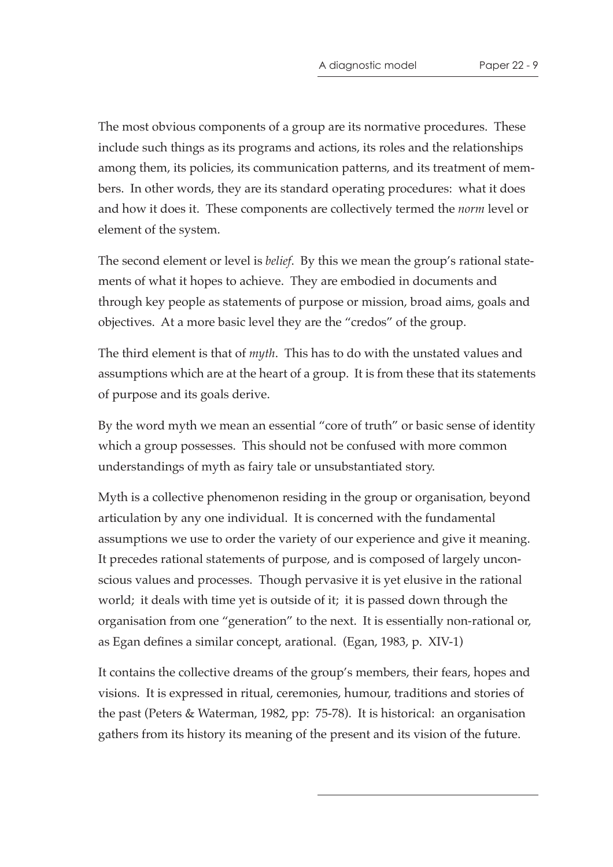The most obvious components of a group are its normative procedures. These include such things as its programs and actions, its roles and the relationships among them, its policies, its communication patterns, and its treatment of members. In other words, they are its standard operating procedures: what it does and how it does it. These components are collectively termed the *norm* level or element of the system.

The second element or level is *belief*. By this we mean the group's rational statements of what it hopes to achieve. They are embodied in documents and through key people as statements of purpose or mission, broad aims, goals and objectives. At a more basic level they are the "credos" of the group.

The third element is that of *myth*. This has to do with the unstated values and assumptions which are at the heart of a group. It is from these that its statements of purpose and its goals derive.

By the word myth we mean an essential "core of truth" or basic sense of identity which a group possesses. This should not be confused with more common understandings of myth as fairy tale or unsubstantiated story.

Myth is a collective phenomenon residing in the group or organisation, beyond articulation by any one individual. It is concerned with the fundamental assumptions we use to order the variety of our experience and give it meaning. It precedes rational statements of purpose, and is composed of largely unconscious values and processes. Though pervasive it is yet elusive in the rational world; it deals with time yet is outside of it; it is passed down through the organisation from one "generation" to the next. It is essentially non-rational or, as Egan defines a similar concept, arational. (Egan, 1983, p. XIV-1)

It contains the collective dreams of the group's members, their fears, hopes and visions. It is expressed in ritual, ceremonies, humour, traditions and stories of the past (Peters & Waterman, 1982, pp: 75-78). It is historical: an organisation gathers from its history its meaning of the present and its vision of the future.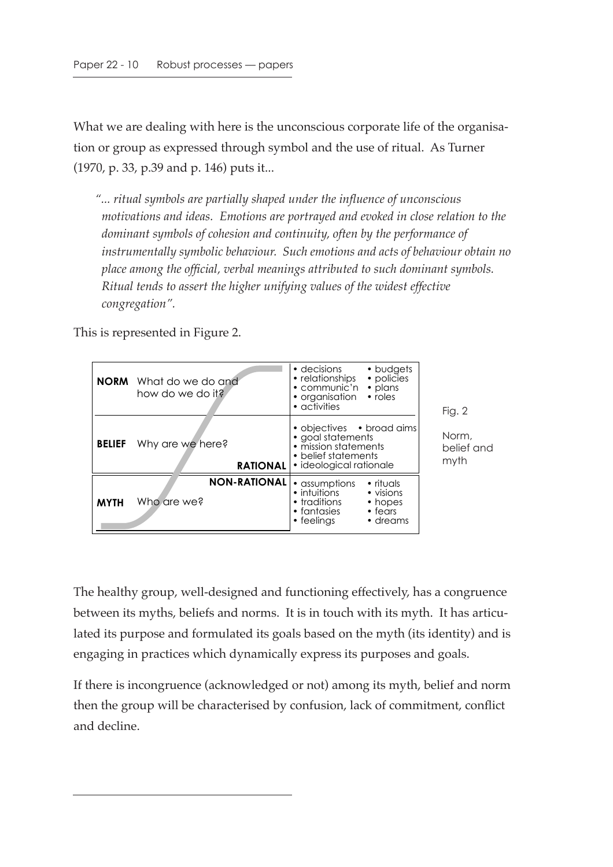What we are dealing with here is the unconscious corporate life of the organisation or group as expressed through symbol and the use of ritual. As Turner (1970, p. 33, p.39 and p. 146) puts it...

*"... ritual symbols are partially shaped under the influence of unconscious motivations and ideas. Emotions are portrayed and evoked in close relation to the dominant symbols of cohesion and continuity, often by the performance of instrumentally symbolic behaviour. Such emotions and acts of behaviour obtain no place among the official, verbal meanings attributed to such dominant symbols. Ritual tends to assert the higher unifying values of the widest effective congregation".*

This is represented in Figure 2.

|               | <b>NORM</b> What do we do and<br>how do we do it? | • decisions<br>• budgets<br>• policies<br>• relationships<br>$\bullet$ communic'n<br>• plans<br>• organisation<br>• roles<br>• activities                              |
|---------------|---------------------------------------------------|------------------------------------------------------------------------------------------------------------------------------------------------------------------------|
| <b>BELIEF</b> | Why are we here?<br><b>RATIONAL</b>               | • objectives • broad aims<br>• goal statements<br>• mission statements<br>• belief statements<br>• ideological rationale                                               |
| <b>MYTH</b>   | <b>NON-RATIONAL</b><br>Who are we?                | • rituals<br>• assumptions<br>• intuitions<br>• visions<br>$\bullet$ traditions<br>• hopes<br>$\bullet$ fantasies<br>$\bullet$ fears<br>$\bullet$ feelings<br>• dreams |

Fig. 2

Norm, belief and myth

The healthy group, well-designed and functioning effectively, has a congruence between its myths, beliefs and norms. It is in touch with its myth. It has articulated its purpose and formulated its goals based on the myth (its identity) and is engaging in practices which dynamically express its purposes and goals.

If there is incongruence (acknowledged or not) among its myth, belief and norm then the group will be characterised by confusion, lack of commitment, conflict and decline.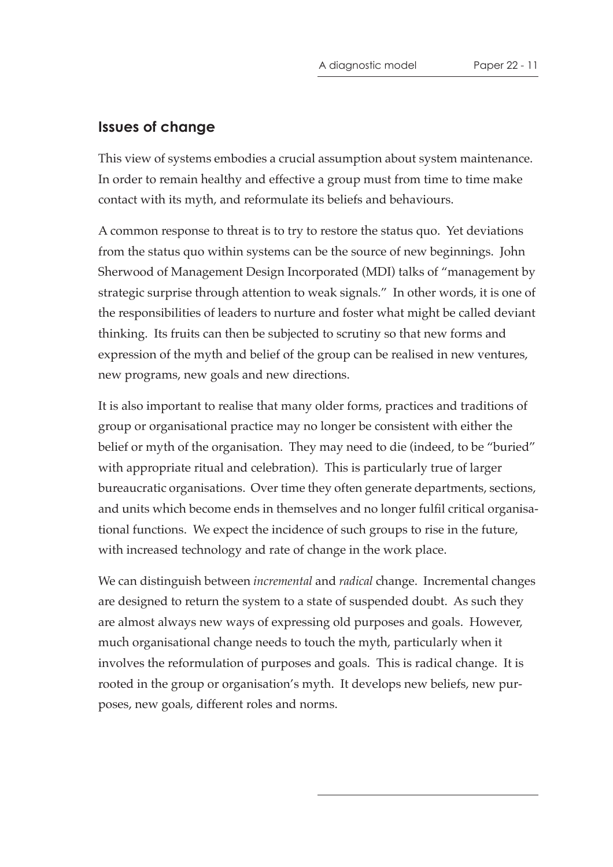#### **Issues of change**

This view of systems embodies a crucial assumption about system maintenance. In order to remain healthy and effective a group must from time to time make contact with its myth, and reformulate its beliefs and behaviours.

A common response to threat is to try to restore the status quo. Yet deviations from the status quo within systems can be the source of new beginnings. John Sherwood of Management Design Incorporated (MDI) talks of "management by strategic surprise through attention to weak signals." In other words, it is one of the responsibilities of leaders to nurture and foster what might be called deviant thinking. Its fruits can then be subjected to scrutiny so that new forms and expression of the myth and belief of the group can be realised in new ventures, new programs, new goals and new directions.

It is also important to realise that many older forms, practices and traditions of group or organisational practice may no longer be consistent with either the belief or myth of the organisation. They may need to die (indeed, to be "buried" with appropriate ritual and celebration). This is particularly true of larger bureaucratic organisations. Over time they often generate departments, sections, and units which become ends in themselves and no longer fulfil critical organisational functions. We expect the incidence of such groups to rise in the future, with increased technology and rate of change in the work place.

We can distinguish between *incremental* and *radical* change. Incremental changes are designed to return the system to a state of suspended doubt. As such they are almost always new ways of expressing old purposes and goals. However, much organisational change needs to touch the myth, particularly when it involves the reformulation of purposes and goals. This is radical change. It is rooted in the group or organisation's myth. It develops new beliefs, new purposes, new goals, different roles and norms.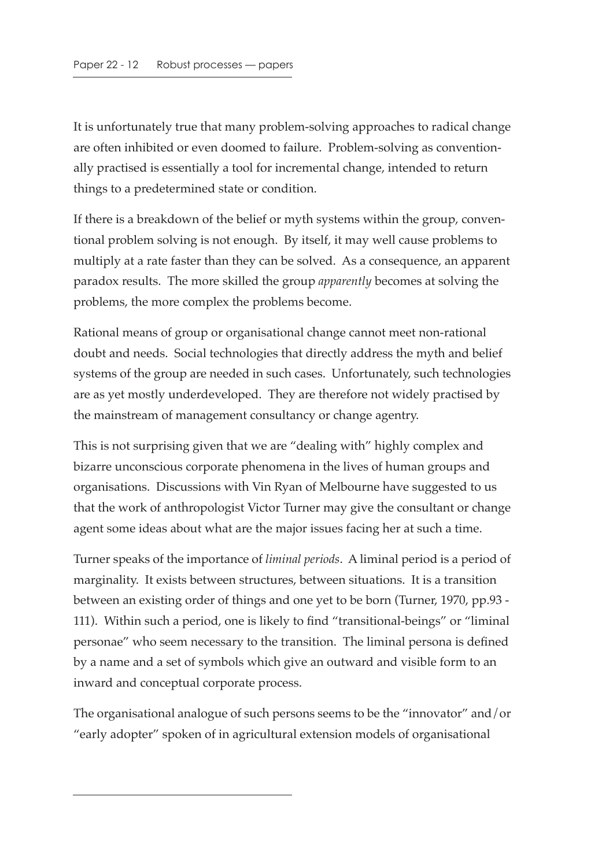It is unfortunately true that many problem-solving approaches to radical change are often inhibited or even doomed to failure. Problem-solving as conventionally practised is essentially a tool for incremental change, intended to return things to a predetermined state or condition.

If there is a breakdown of the belief or myth systems within the group, conventional problem solving is not enough. By itself, it may well cause problems to multiply at a rate faster than they can be solved. As a consequence, an apparent paradox results. The more skilled the group *apparently* becomes at solving the problems, the more complex the problems become.

Rational means of group or organisational change cannot meet non-rational doubt and needs. Social technologies that directly address the myth and belief systems of the group are needed in such cases. Unfortunately, such technologies are as yet mostly underdeveloped. They are therefore not widely practised by the mainstream of management consultancy or change agentry.

This is not surprising given that we are "dealing with" highly complex and bizarre unconscious corporate phenomena in the lives of human groups and organisations. Discussions with Vin Ryan of Melbourne have suggested to us that the work of anthropologist Victor Turner may give the consultant or change agent some ideas about what are the major issues facing her at such a time.

Turner speaks of the importance of *liminal periods*. A liminal period is a period of marginality. It exists between structures, between situations. It is a transition between an existing order of things and one yet to be born (Turner, 1970, pp.93 - 111). Within such a period, one is likely to find "transitional-beings" or "liminal personae" who seem necessary to the transition. The liminal persona is defined by a name and a set of symbols which give an outward and visible form to an inward and conceptual corporate process.

The organisational analogue of such persons seems to be the "innovator" and/or "early adopter" spoken of in agricultural extension models of organisational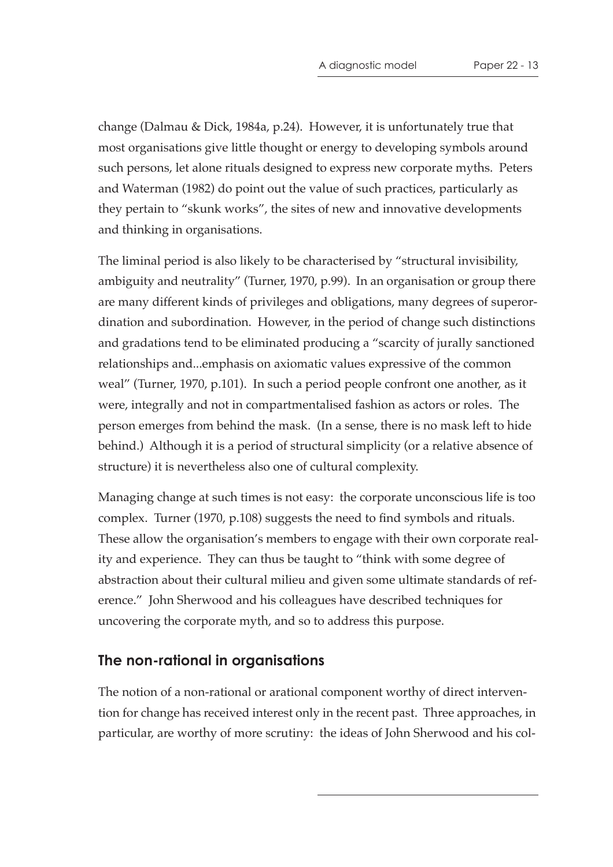change (Dalmau & Dick, 1984a, p.24). However, it is unfortunately true that most organisations give little thought or energy to developing symbols around such persons, let alone rituals designed to express new corporate myths. Peters and Waterman (1982) do point out the value of such practices, particularly as they pertain to "skunk works", the sites of new and innovative developments and thinking in organisations.

The liminal period is also likely to be characterised by "structural invisibility, ambiguity and neutrality" (Turner, 1970, p.99). In an organisation or group there are many different kinds of privileges and obligations, many degrees of superordination and subordination. However, in the period of change such distinctions and gradations tend to be eliminated producing a "scarcity of jurally sanctioned relationships and...emphasis on axiomatic values expressive of the common weal" (Turner, 1970, p.101). In such a period people confront one another, as it were, integrally and not in compartmentalised fashion as actors or roles. The person emerges from behind the mask. (In a sense, there is no mask left to hide behind.) Although it is a period of structural simplicity (or a relative absence of structure) it is nevertheless also one of cultural complexity.

Managing change at such times is not easy: the corporate unconscious life is too complex. Turner (1970, p.108) suggests the need to find symbols and rituals. These allow the organisation's members to engage with their own corporate reality and experience. They can thus be taught to "think with some degree of abstraction about their cultural milieu and given some ultimate standards of reference." John Sherwood and his colleagues have described techniques for uncovering the corporate myth, and so to address this purpose.

#### **The non-rational in organisations**

The notion of a non-rational or arational component worthy of direct intervention for change has received interest only in the recent past. Three approaches, in particular, are worthy of more scrutiny: the ideas of John Sherwood and his col-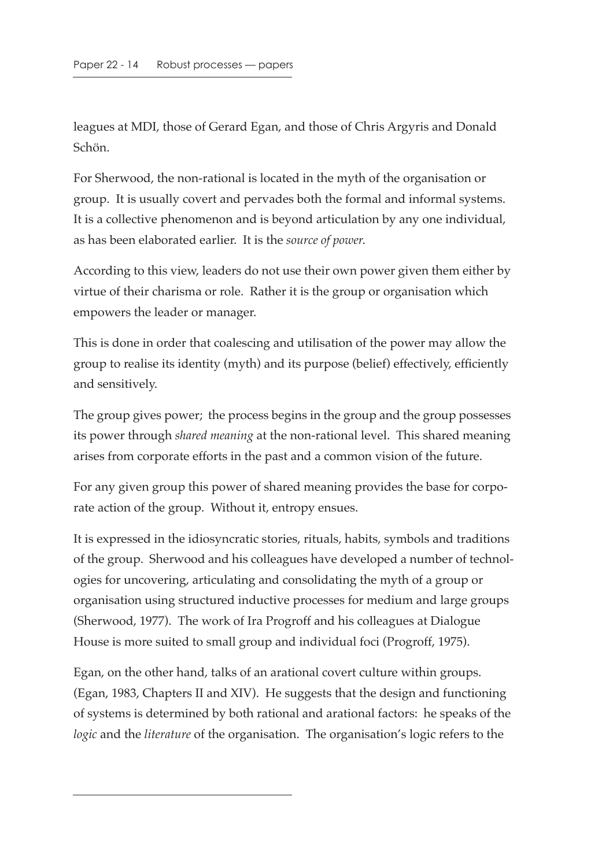leagues at MDI, those of Gerard Egan, and those of Chris Argyris and Donald Schön.

For Sherwood, the non-rational is located in the myth of the organisation or group. It is usually covert and pervades both the formal and informal systems. It is a collective phenomenon and is beyond articulation by any one individual, as has been elaborated earlier. It is the *source of power*.

According to this view, leaders do not use their own power given them either by virtue of their charisma or role. Rather it is the group or organisation which empowers the leader or manager.

This is done in order that coalescing and utilisation of the power may allow the group to realise its identity (myth) and its purpose (belief) effectively, efficiently and sensitively.

The group gives power; the process begins in the group and the group possesses its power through *shared meaning* at the non-rational level. This shared meaning arises from corporate efforts in the past and a common vision of the future.

For any given group this power of shared meaning provides the base for corporate action of the group. Without it, entropy ensues.

It is expressed in the idiosyncratic stories, rituals, habits, symbols and traditions of the group. Sherwood and his colleagues have developed a number of technologies for uncovering, articulating and consolidating the myth of a group or organisation using structured inductive processes for medium and large groups (Sherwood, 1977). The work of Ira Progroff and his colleagues at Dialogue House is more suited to small group and individual foci (Progroff, 1975).

Egan, on the other hand, talks of an arational covert culture within groups. (Egan, 1983, Chapters II and XIV). He suggests that the design and functioning of systems is determined by both rational and arational factors: he speaks of the *logic* and the *literature* of the organisation. The organisation's logic refers to the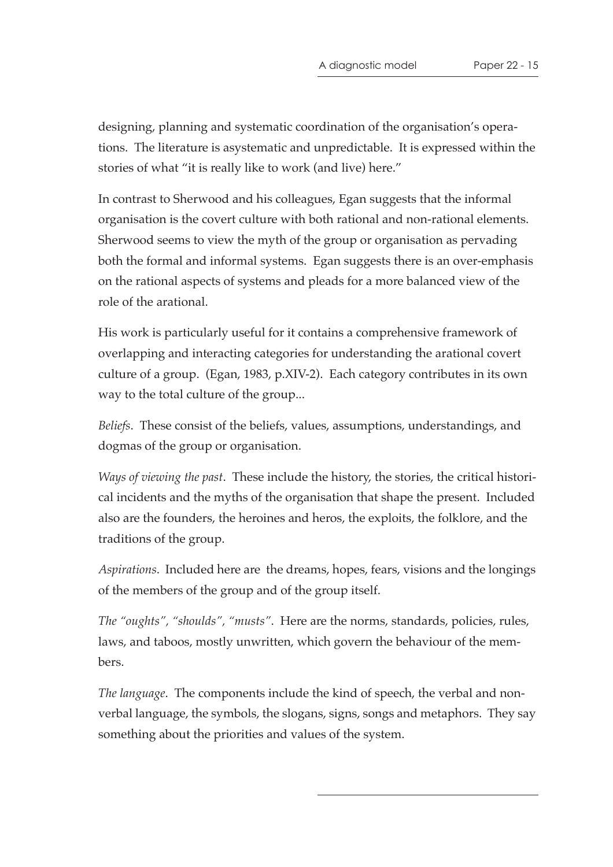designing, planning and systematic coordination of the organisation's operations. The literature is asystematic and unpredictable. It is expressed within the stories of what "it is really like to work (and live) here."

In contrast to Sherwood and his colleagues, Egan suggests that the informal organisation is the covert culture with both rational and non-rational elements. Sherwood seems to view the myth of the group or organisation as pervading both the formal and informal systems. Egan suggests there is an over-emphasis on the rational aspects of systems and pleads for a more balanced view of the role of the arational.

His work is particularly useful for it contains a comprehensive framework of overlapping and interacting categories for understanding the arational covert culture of a group. (Egan, 1983, p.XIV-2). Each category contributes in its own way to the total culture of the group...

*Beliefs*. These consist of the beliefs, values, assumptions, understandings, and dogmas of the group or organisation.

*Ways of viewing the past*. These include the history, the stories, the critical historical incidents and the myths of the organisation that shape the present. Included also are the founders, the heroines and heros, the exploits, the folklore, and the traditions of the group.

*Aspirations*. Included here are the dreams, hopes, fears, visions and the longings of the members of the group and of the group itself.

*The "oughts", "shoulds", "musts"*. Here are the norms, standards, policies, rules, laws, and taboos, mostly unwritten, which govern the behaviour of the members.

*The language*. The components include the kind of speech, the verbal and nonverbal language, the symbols, the slogans, signs, songs and metaphors. They say something about the priorities and values of the system.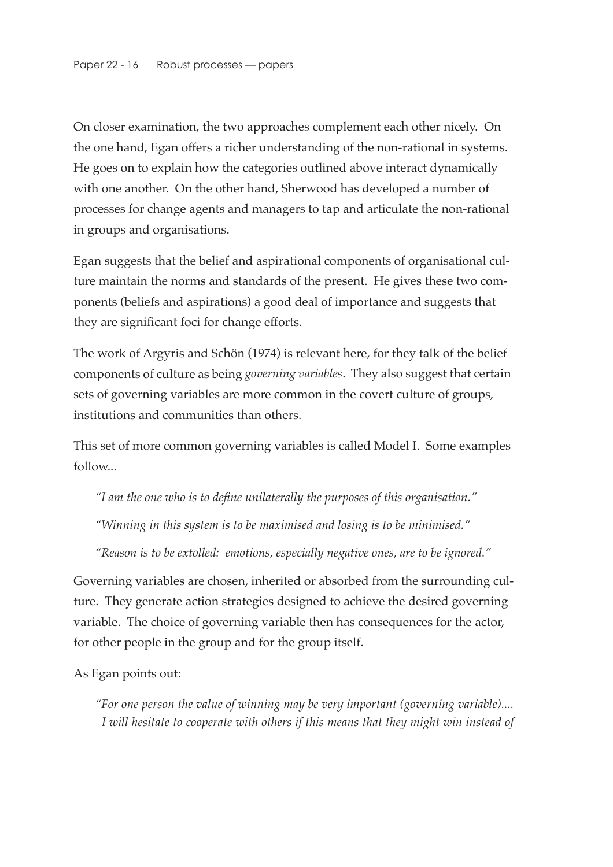On closer examination, the two approaches complement each other nicely. On the one hand, Egan offers a richer understanding of the non-rational in systems. He goes on to explain how the categories outlined above interact dynamically with one another. On the other hand, Sherwood has developed a number of processes for change agents and managers to tap and articulate the non-rational in groups and organisations.

Egan suggests that the belief and aspirational components of organisational culture maintain the norms and standards of the present. He gives these two components (beliefs and aspirations) a good deal of importance and suggests that they are significant foci for change efforts.

The work of Argyris and Schön (1974) is relevant here, for they talk of the belief components of culture as being *governing variables*. They also suggest that certain sets of governing variables are more common in the covert culture of groups, institutions and communities than others.

This set of more common governing variables is called Model I. Some examples follow...

*"I am the one who is to define unilaterally the purposes of this organisation." "Winning in this system is to be maximised and losing is to be minimised."*

*"Reason is to be extolled: emotions, especially negative ones, are to be ignored."*

Governing variables are chosen, inherited or absorbed from the surrounding culture. They generate action strategies designed to achieve the desired governing variable. The choice of governing variable then has consequences for the actor, for other people in the group and for the group itself.

As Egan points out:

*"For one person the value of winning may be very important (governing variable).... I will hesitate to cooperate with others if this means that they might win instead of*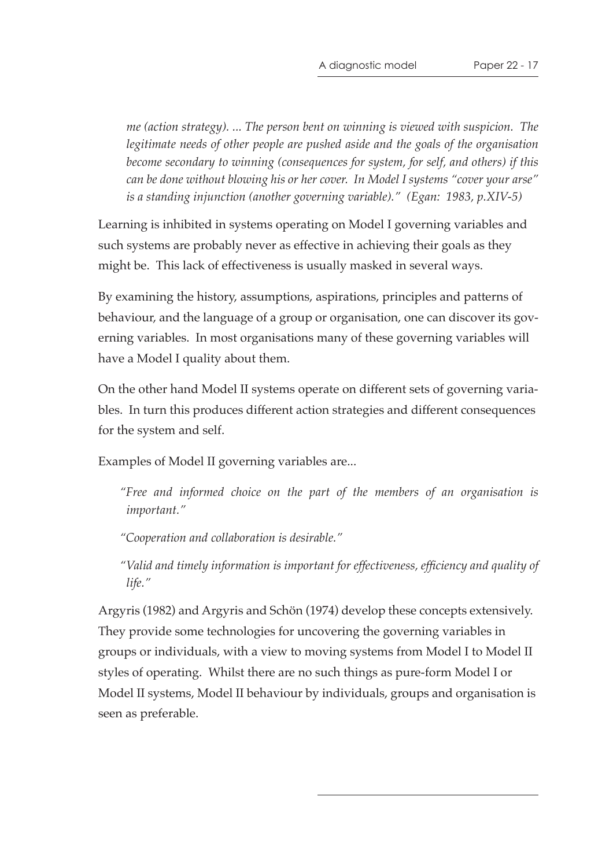A diagnostic model Paper 22 - 17

*me (action strategy). ... The person bent on winning is viewed with suspicion. The legitimate needs of other people are pushed aside and the goals of the organisation become secondary to winning (consequences for system, for self, and others) if this can be done without blowing his or her cover. In Model I systems "cover your arse" is a standing injunction (another governing variable)." (Egan: 1983, p.XIV-5)*

Learning is inhibited in systems operating on Model I governing variables and such systems are probably never as effective in achieving their goals as they might be. This lack of effectiveness is usually masked in several ways.

By examining the history, assumptions, aspirations, principles and patterns of behaviour, and the language of a group or organisation, one can discover its governing variables. In most organisations many of these governing variables will have a Model I quality about them.

On the other hand Model II systems operate on different sets of governing variables. In turn this produces different action strategies and different consequences for the system and self.

Examples of Model II governing variables are...

*"Free and informed choice on the part of the members of an organisation is important."*

*"Cooperation and collaboration is desirable."*

*"Valid and timely information is important for effectiveness, efficiency and quality of life."*

Argyris (1982) and Argyris and Schön (1974) develop these concepts extensively. They provide some technologies for uncovering the governing variables in groups or individuals, with a view to moving systems from Model I to Model II styles of operating. Whilst there are no such things as pure-form Model I or Model II systems, Model II behaviour by individuals, groups and organisation is seen as preferable.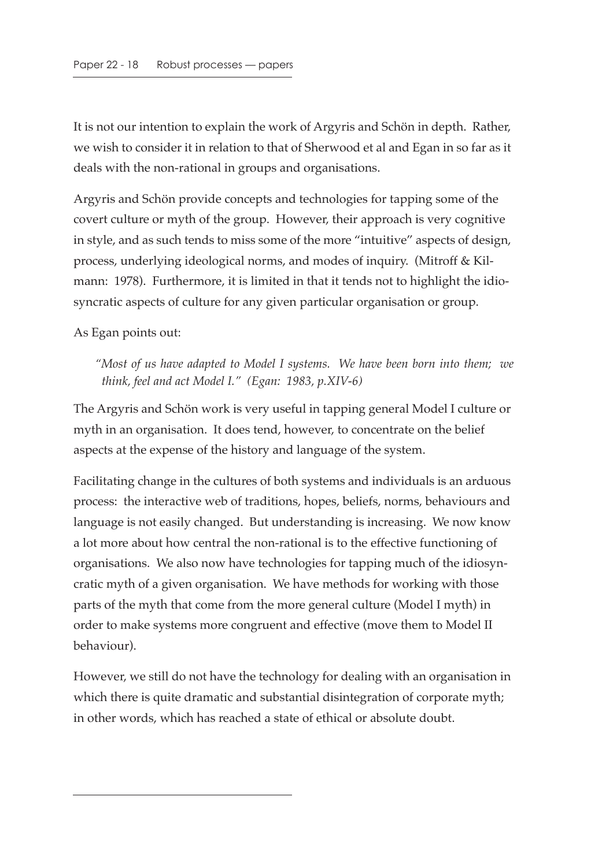It is not our intention to explain the work of Argyris and Schön in depth. Rather, we wish to consider it in relation to that of Sherwood et al and Egan in so far as it deals with the non-rational in groups and organisations.

Argyris and Schön provide concepts and technologies for tapping some of the covert culture or myth of the group. However, their approach is very cognitive in style, and as such tends to miss some of the more "intuitive" aspects of design, process, underlying ideological norms, and modes of inquiry. (Mitroff & Kilmann: 1978). Furthermore, it is limited in that it tends not to highlight the idiosyncratic aspects of culture for any given particular organisation or group.

As Egan points out:

*"Most of us have adapted to Model I systems. We have been born into them; we think, feel and act Model I." (Egan: 1983, p.XIV-6)*

The Argyris and Schön work is very useful in tapping general Model I culture or myth in an organisation. It does tend, however, to concentrate on the belief aspects at the expense of the history and language of the system.

Facilitating change in the cultures of both systems and individuals is an arduous process: the interactive web of traditions, hopes, beliefs, norms, behaviours and language is not easily changed. But understanding is increasing. We now know a lot more about how central the non-rational is to the effective functioning of organisations. We also now have technologies for tapping much of the idiosyncratic myth of a given organisation. We have methods for working with those parts of the myth that come from the more general culture (Model I myth) in order to make systems more congruent and effective (move them to Model II behaviour).

However, we still do not have the technology for dealing with an organisation in which there is quite dramatic and substantial disintegration of corporate myth; in other words, which has reached a state of ethical or absolute doubt.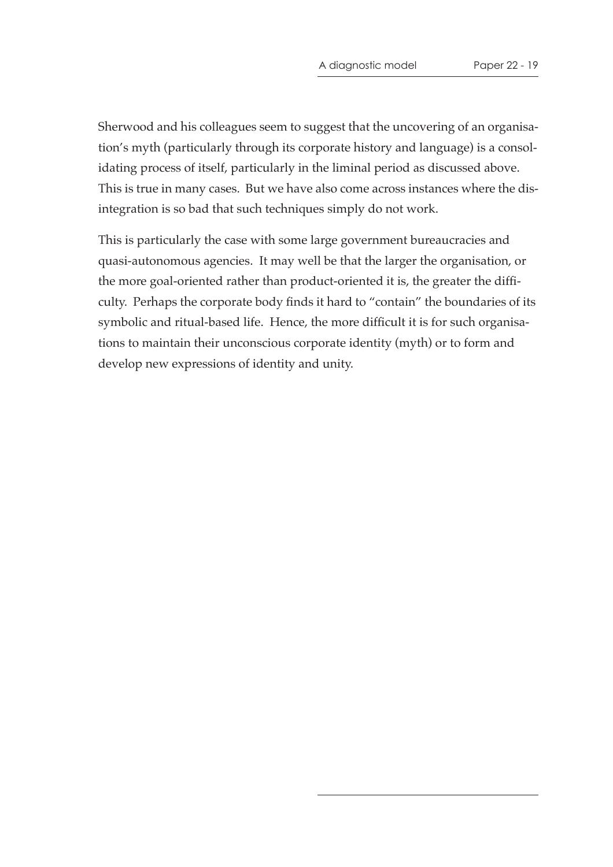Sherwood and his colleagues seem to suggest that the uncovering of an organisation's myth (particularly through its corporate history and language) is a consolidating process of itself, particularly in the liminal period as discussed above. This is true in many cases. But we have also come across instances where the disintegration is so bad that such techniques simply do not work.

This is particularly the case with some large government bureaucracies and quasi-autonomous agencies. It may well be that the larger the organisation, or the more goal-oriented rather than product-oriented it is, the greater the difficulty. Perhaps the corporate body finds it hard to "contain" the boundaries of its symbolic and ritual-based life. Hence, the more difficult it is for such organisations to maintain their unconscious corporate identity (myth) or to form and develop new expressions of identity and unity.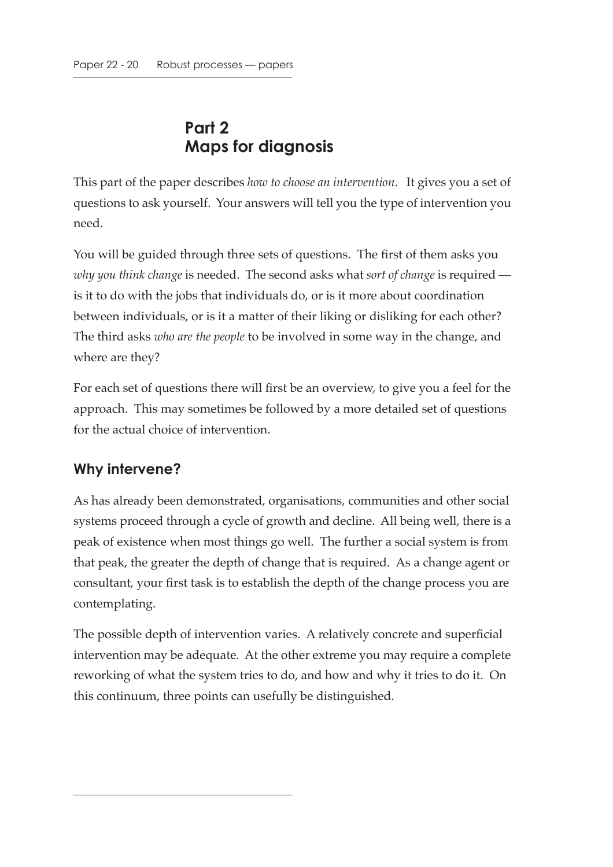## **Part 2 Maps for diagnosis**

This part of the paper describes *how to choose an intervention*. It gives you a set of questions to ask yourself. Your answers will tell you the type of intervention you need.

You will be guided through three sets of questions. The first of them asks you *why you think change* is needed. The second asks what *sort of change* is required is it to do with the jobs that individuals do, or is it more about coordination between individuals, or is it a matter of their liking or disliking for each other? The third asks *who are the people* to be involved in some way in the change, and where are they?

For each set of questions there will first be an overview, to give you a feel for the approach. This may sometimes be followed by a more detailed set of questions for the actual choice of intervention.

#### **Why intervene?**

As has already been demonstrated, organisations, communities and other social systems proceed through a cycle of growth and decline. All being well, there is a peak of existence when most things go well. The further a social system is from that peak, the greater the depth of change that is required. As a change agent or consultant, your first task is to establish the depth of the change process you are contemplating.

The possible depth of intervention varies. A relatively concrete and superficial intervention may be adequate. At the other extreme you may require a complete reworking of what the system tries to do, and how and why it tries to do it. On this continuum, three points can usefully be distinguished.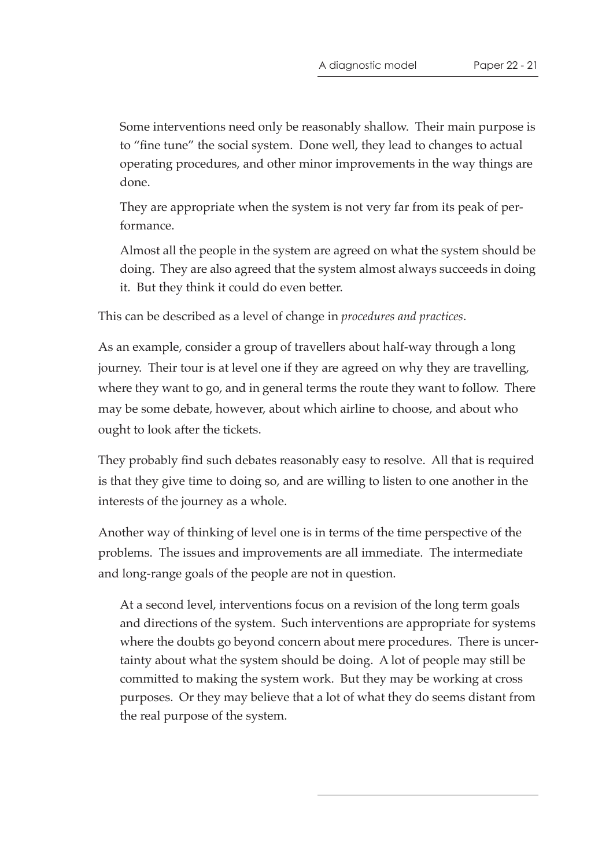Some interventions need only be reasonably shallow. Their main purpose is to "fine tune" the social system. Done well, they lead to changes to actual operating procedures, and other minor improvements in the way things are done.

They are appropriate when the system is not very far from its peak of performance.

Almost all the people in the system are agreed on what the system should be doing. They are also agreed that the system almost always succeeds in doing it. But they think it could do even better.

This can be described as a level of change in *procedures and practices*.

As an example, consider a group of travellers about half-way through a long journey. Their tour is at level one if they are agreed on why they are travelling, where they want to go, and in general terms the route they want to follow. There may be some debate, however, about which airline to choose, and about who ought to look after the tickets.

They probably find such debates reasonably easy to resolve. All that is required is that they give time to doing so, and are willing to listen to one another in the interests of the journey as a whole.

Another way of thinking of level one is in terms of the time perspective of the problems. The issues and improvements are all immediate. The intermediate and long-range goals of the people are not in question.

At a second level, interventions focus on a revision of the long term goals and directions of the system. Such interventions are appropriate for systems where the doubts go beyond concern about mere procedures. There is uncertainty about what the system should be doing. A lot of people may still be committed to making the system work. But they may be working at cross purposes. Or they may believe that a lot of what they do seems distant from the real purpose of the system.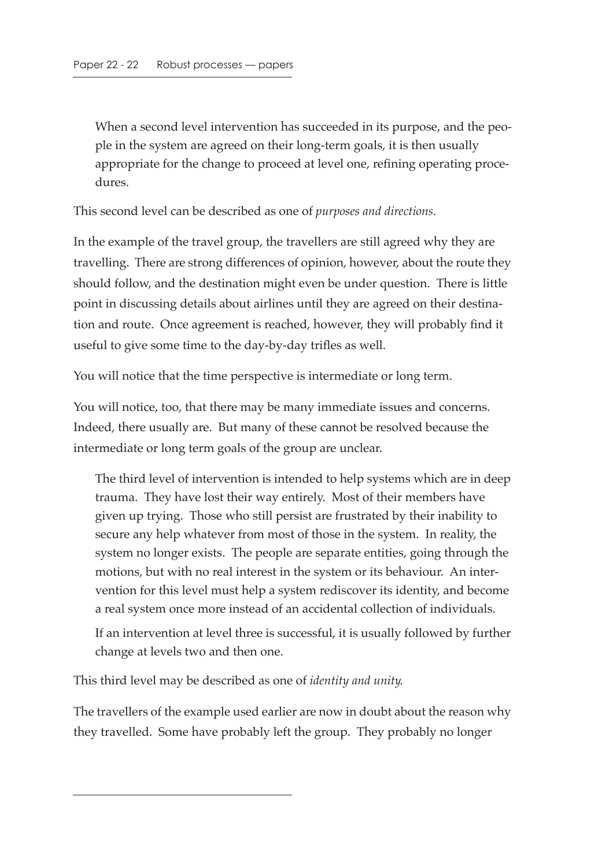When a second level intervention has succeeded in its purpose, and the people in the system are agreed on their long-term goals, it is then usually appropriate for the change to proceed at level one, refining operating procedures.

This second level can be described as one of *purposes and directions*.

In the example of the travel group, the travellers are still agreed why they are travelling. There are strong differences of opinion, however, about the route they should follow, and the destination might even be under question. There is little point in discussing details about airlines until they are agreed on their destination and route. Once agreement is reached, however, they will probably find it useful to give some time to the day-by-day trifles as well.

You will notice that the time perspective is intermediate or long term.

You will notice, too, that there may be many immediate issues and concerns. Indeed, there usually are. But many of these cannot be resolved because the intermediate or long term goals of the group are unclear.

The third level of intervention is intended to help systems which are in deep trauma. They have lost their way entirely. Most of their members have given up trying. Those who still persist are frustrated by their inability to secure any help whatever from most of those in the system. In reality, the system no longer exists. The people are separate entities, going through the motions, but with no real interest in the system or its behaviour. An intervention for this level must help a system rediscover its identity, and become a real system once more instead of an accidental collection of individuals.

If an intervention at level three is successful, it is usually followed by further change at levels two and then one.

This third level may be described as one of *identity and unity*.

The travellers of the example used earlier are now in doubt about the reason why they travelled. Some have probably left the group. They probably no longer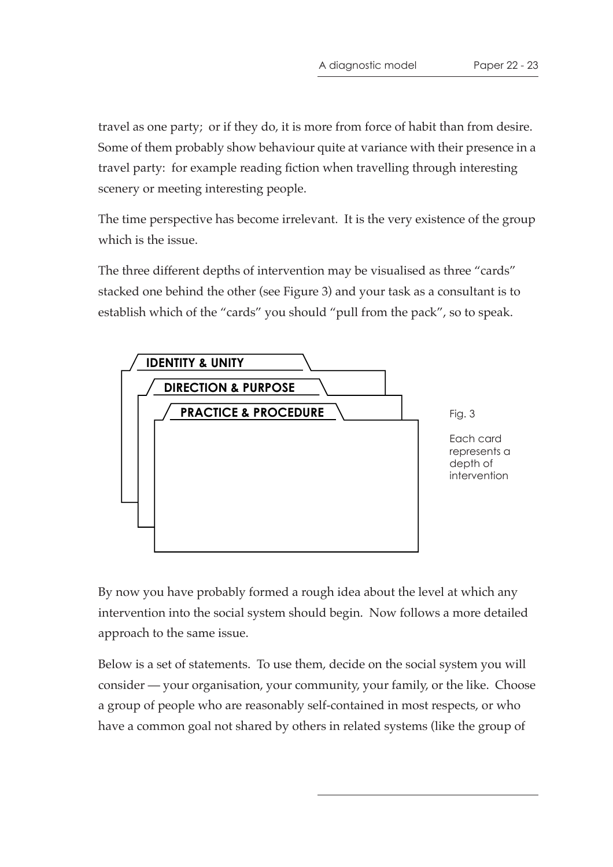travel as one party; or if they do, it is more from force of habit than from desire. Some of them probably show behaviour quite at variance with their presence in a travel party: for example reading fiction when travelling through interesting scenery or meeting interesting people.

The time perspective has become irrelevant. It is the very existence of the group which is the issue.

The three different depths of intervention may be visualised as three "cards" stacked one behind the other (see Figure 3) and your task as a consultant is to establish which of the "cards" you should "pull from the pack", so to speak.



By now you have probably formed a rough idea about the level at which any intervention into the social system should begin. Now follows a more detailed approach to the same issue.

Below is a set of statements. To use them, decide on the social system you will consider — your organisation, your community, your family, or the like. Choose a group of people who are reasonably self-contained in most respects, or who have a common goal not shared by others in related systems (like the group of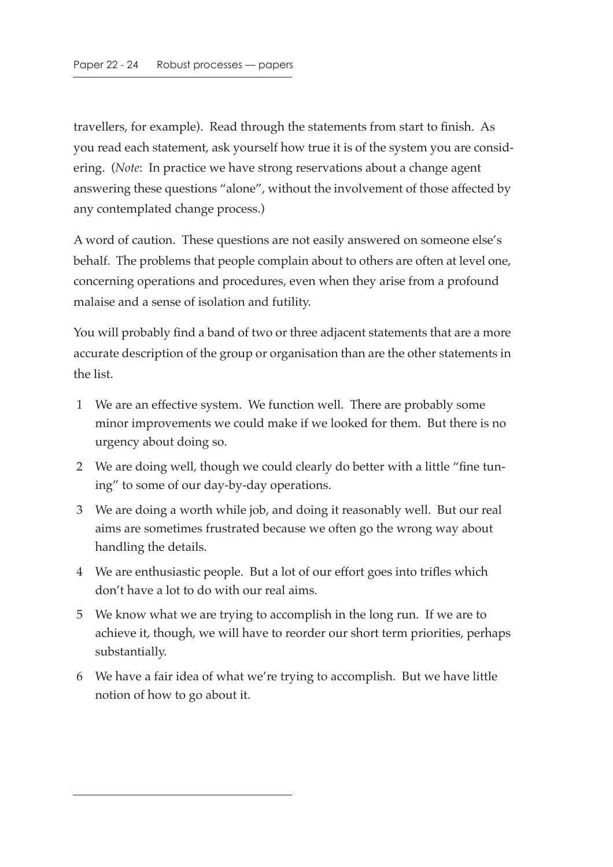travellers, for example). Read through the statements from start to finish. As you read each statement, ask yourself how true it is of the system you are considering. (*Note*: In practice we have strong reservations about a change agent answering these questions "alone", without the involvement of those affected by any contemplated change process.)

A word of caution. These questions are not easily answered on someone else's behalf. The problems that people complain about to others are often at level one, concerning operations and procedures, even when they arise from a profound malaise and a sense of isolation and futility.

You will probably find a band of two or three adjacent statements that are a more accurate description of the group or organisation than are the other statements in the list.

- 1 We are an effective system. We function well. There are probably some minor improvements we could make if we looked for them. But there is no urgency about doing so.
- 2 We are doing well, though we could clearly do better with a little "fine tuning" to some of our day-by-day operations.
- 3 We are doing a worth while job, and doing it reasonably well. But our real aims are sometimes frustrated because we often go the wrong way about handling the details.
- 4 We are enthusiastic people. But a lot of our effort goes into trifles which don't have a lot to do with our real aims.
- 5 We know what we are trying to accomplish in the long run. If we are to achieve it, though, we will have to reorder our short term priorities, perhaps substantially.
- 6 We have a fair idea of what we're trying to accomplish. But we have little notion of how to go about it.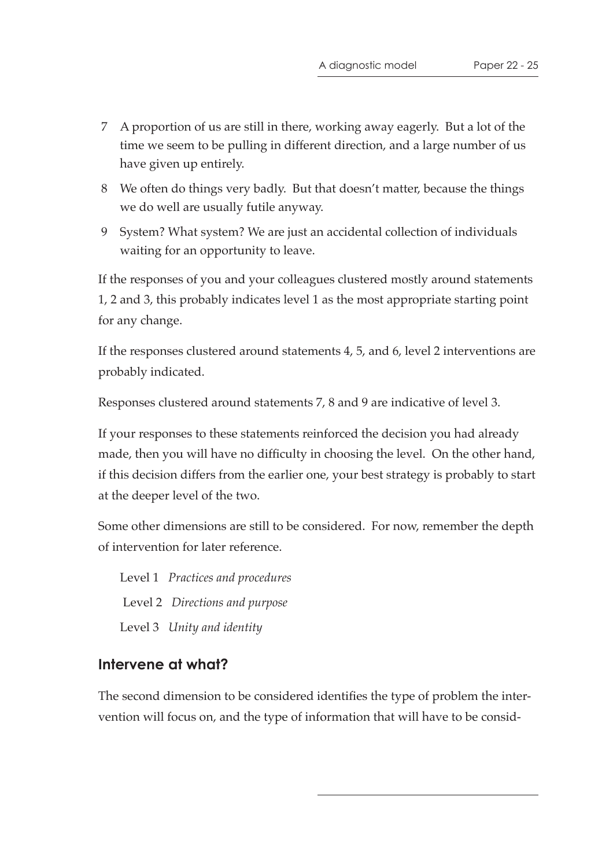- 7 A proportion of us are still in there, working away eagerly. But a lot of the time we seem to be pulling in different direction, and a large number of us have given up entirely.
- 8 We often do things very badly. But that doesn't matter, because the things we do well are usually futile anyway.
- 9 System? What system? We are just an accidental collection of individuals waiting for an opportunity to leave.

If the responses of you and your colleagues clustered mostly around statements 1, 2 and 3, this probably indicates level 1 as the most appropriate starting point for any change.

If the responses clustered around statements 4, 5, and 6, level 2 interventions are probably indicated.

Responses clustered around statements 7, 8 and 9 are indicative of level 3.

If your responses to these statements reinforced the decision you had already made, then you will have no difficulty in choosing the level. On the other hand, if this decision differs from the earlier one, your best strategy is probably to start at the deeper level of the two.

Some other dimensions are still to be considered. For now, remember the depth of intervention for later reference.

 Level 1 *Practices and procedures* Level 2 *Directions and purpose* Level 3 *Unity and identity*

#### **Intervene at what?**

The second dimension to be considered identifies the type of problem the intervention will focus on, and the type of information that will have to be consid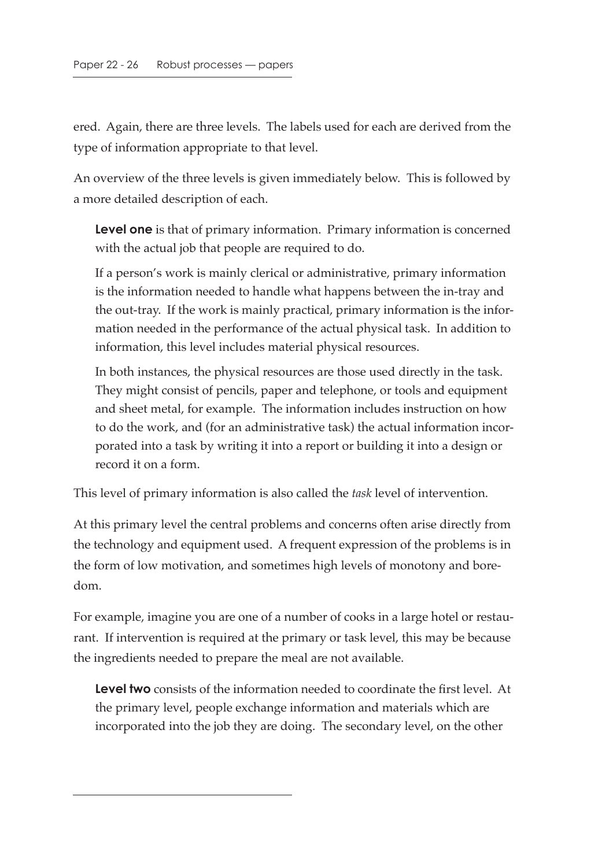ered. Again, there are three levels. The labels used for each are derived from the type of information appropriate to that level.

An overview of the three levels is given immediately below. This is followed by a more detailed description of each.

**Level one** is that of primary information. Primary information is concerned with the actual job that people are required to do.

If a person's work is mainly clerical or administrative, primary information is the information needed to handle what happens between the in-tray and the out-tray. If the work is mainly practical, primary information is the information needed in the performance of the actual physical task. In addition to information, this level includes material physical resources.

In both instances, the physical resources are those used directly in the task. They might consist of pencils, paper and telephone, or tools and equipment and sheet metal, for example. The information includes instruction on how to do the work, and (for an administrative task) the actual information incorporated into a task by writing it into a report or building it into a design or record it on a form.

This level of primary information is also called the *task* level of intervention.

At this primary level the central problems and concerns often arise directly from the technology and equipment used. A frequent expression of the problems is in the form of low motivation, and sometimes high levels of monotony and boredom.

For example, imagine you are one of a number of cooks in a large hotel or restaurant. If intervention is required at the primary or task level, this may be because the ingredients needed to prepare the meal are not available.

**Level two** consists of the information needed to coordinate the first level. At the primary level, people exchange information and materials which are incorporated into the job they are doing. The secondary level, on the other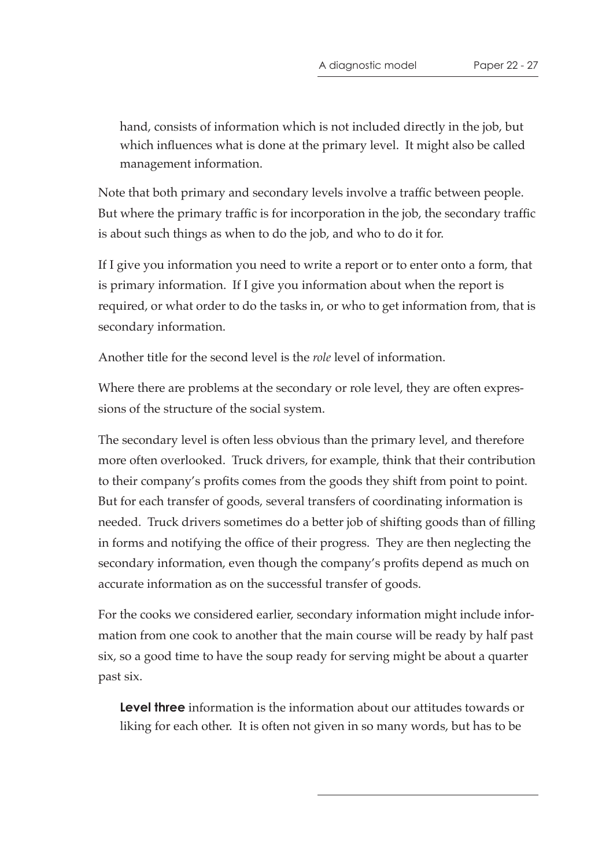hand, consists of information which is not included directly in the job, but which influences what is done at the primary level. It might also be called management information.

Note that both primary and secondary levels involve a traffic between people. But where the primary traffic is for incorporation in the job, the secondary traffic is about such things as when to do the job, and who to do it for.

If I give you information you need to write a report or to enter onto a form, that is primary information. If I give you information about when the report is required, or what order to do the tasks in, or who to get information from, that is secondary information.

Another title for the second level is the *role* level of information.

Where there are problems at the secondary or role level, they are often expressions of the structure of the social system.

The secondary level is often less obvious than the primary level, and therefore more often overlooked. Truck drivers, for example, think that their contribution to their company's profits comes from the goods they shift from point to point. But for each transfer of goods, several transfers of coordinating information is needed. Truck drivers sometimes do a better job of shifting goods than of filling in forms and notifying the office of their progress. They are then neglecting the secondary information, even though the company's profits depend as much on accurate information as on the successful transfer of goods.

For the cooks we considered earlier, secondary information might include information from one cook to another that the main course will be ready by half past six, so a good time to have the soup ready for serving might be about a quarter past six.

**Level three** information is the information about our attitudes towards or liking for each other. It is often not given in so many words, but has to be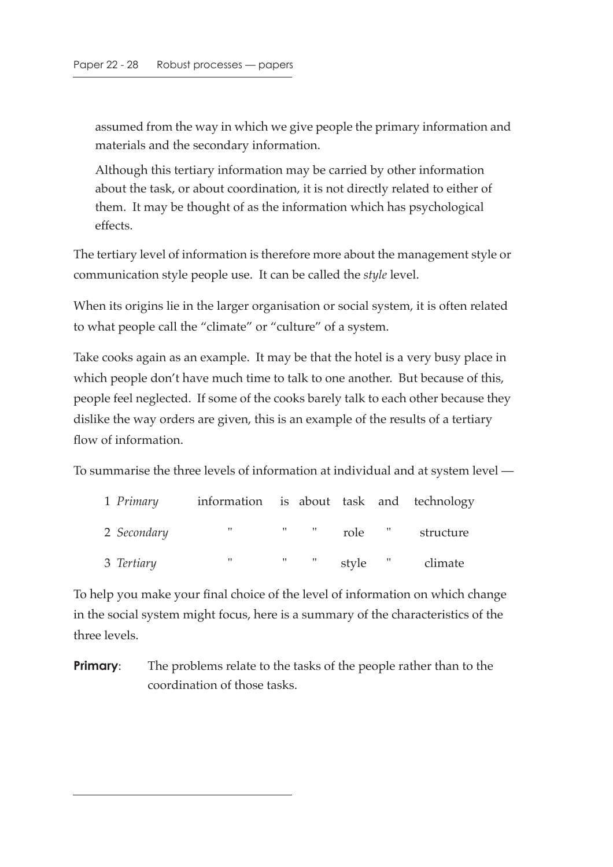assumed from the way in which we give people the primary information and materials and the secondary information.

Although this tertiary information may be carried by other information about the task, or about coordination, it is not directly related to either of them. It may be thought of as the information which has psychological effects.

The tertiary level of information is therefore more about the management style or communication style people use. It can be called the *style* level.

When its origins lie in the larger organisation or social system, it is often related to what people call the "climate" or "culture" of a system.

Take cooks again as an example. It may be that the hotel is a very busy place in which people don't have much time to talk to one another. But because of this, people feel neglected. If some of the cooks barely talk to each other because they dislike the way orders are given, this is an example of the results of a tertiary flow of information.

To summarise the three levels of information at individual and at system level —

| 1 Primary   | information is about task and technology |                           |         |        |           |
|-------------|------------------------------------------|---------------------------|---------|--------|-----------|
| 2 Secondary | <b>March 200</b>                         | $\mathbf{u}$ $\mathbf{u}$ |         | role " | structure |
| 3 Tertiary  | 11                                       | $\mathbf{u}$ $\mathbf{u}$ | style " |        | climate   |

To help you make your final choice of the level of information on which change in the social system might focus, here is a summary of the characteristics of the three levels.

**Primary:** The problems relate to the tasks of the people rather than to the coordination of those tasks.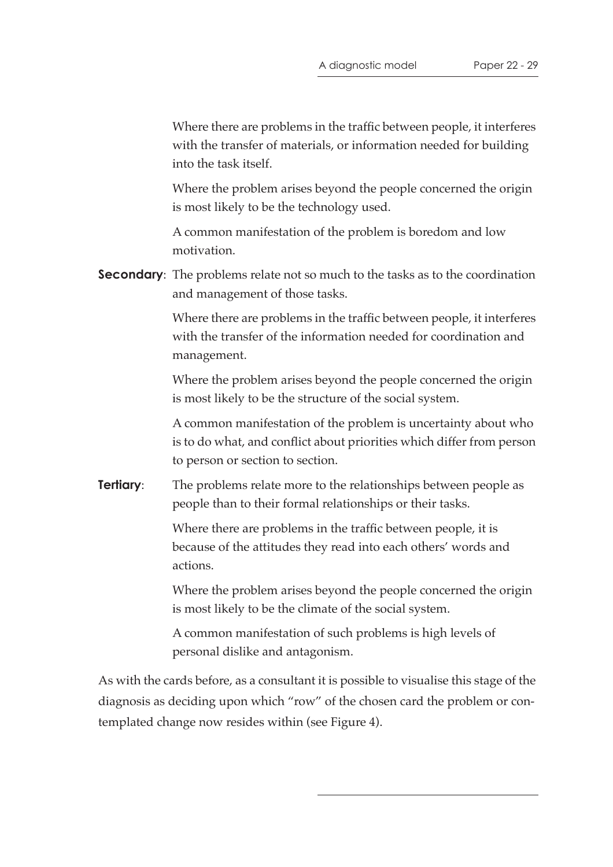Where there are problems in the traffic between people, it interferes with the transfer of materials, or information needed for building into the task itself.

Where the problem arises beyond the people concerned the origin is most likely to be the technology used.

A common manifestation of the problem is boredom and low motivation.

**Secondary**: The problems relate not so much to the tasks as to the coordination and management of those tasks.

> Where there are problems in the traffic between people, it interferes with the transfer of the information needed for coordination and management.

> Where the problem arises beyond the people concerned the origin is most likely to be the structure of the social system.

> A common manifestation of the problem is uncertainty about who is to do what, and conflict about priorities which differ from person to person or section to section.

**Tertiary:** The problems relate more to the relationships between people as people than to their formal relationships or their tasks.

> Where there are problems in the traffic between people, it is because of the attitudes they read into each others' words and actions.

Where the problem arises beyond the people concerned the origin is most likely to be the climate of the social system.

A common manifestation of such problems is high levels of personal dislike and antagonism.

As with the cards before, as a consultant it is possible to visualise this stage of the diagnosis as deciding upon which "row" of the chosen card the problem or contemplated change now resides within (see Figure 4).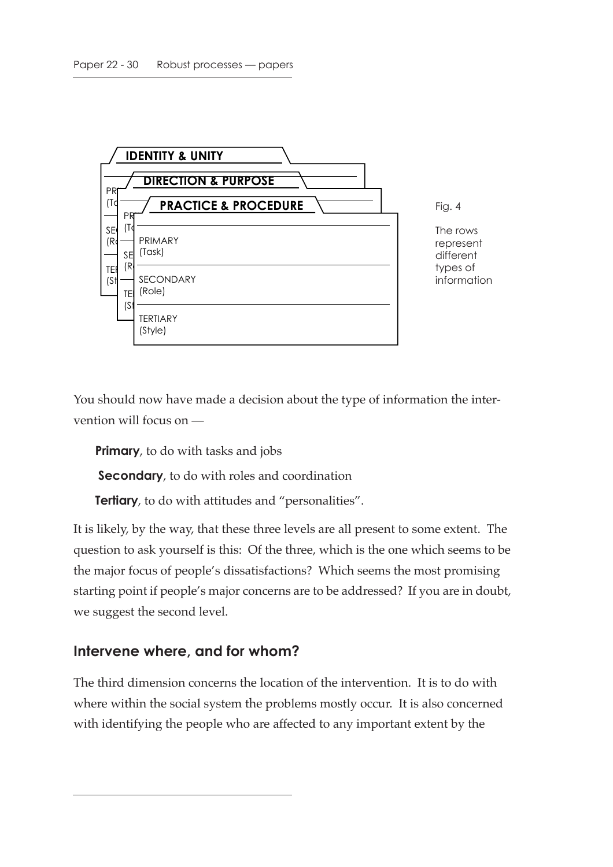

You should now have made a decision about the type of information the intervention will focus on —

**Primary**, to do with tasks and jobs

**Secondary**, to do with roles and coordination

**Tertiary**, to do with attitudes and "personalities".

It is likely, by the way, that these three levels are all present to some extent. The question to ask yourself is this: Of the three, which is the one which seems to be the major focus of people's dissatisfactions? Which seems the most promising starting point if people's major concerns are to be addressed? If you are in doubt, we suggest the second level.

#### **Intervene where, and for whom?**

The third dimension concerns the location of the intervention. It is to do with where within the social system the problems mostly occur. It is also concerned with identifying the people who are affected to any important extent by the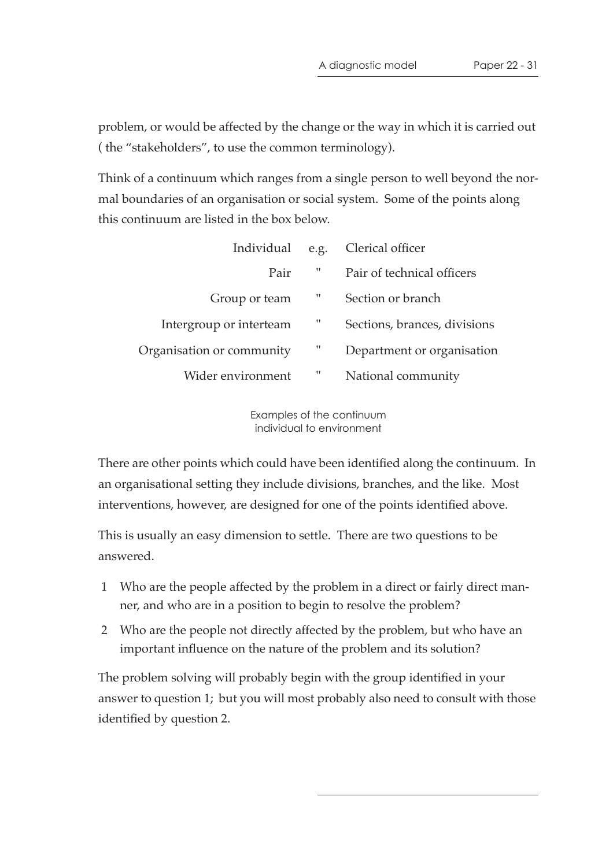problem, or would be affected by the change or the way in which it is carried out ( the "stakeholders", to use the common terminology).

Think of a continuum which ranges from a single person to well beyond the normal boundaries of an organisation or social system. Some of the points along this continuum are listed in the box below.

| Individual                | e.g. | Clerical officer             |
|---------------------------|------|------------------------------|
| Pair                      | 11   | Pair of technical officers   |
| Group or team             | 11   | Section or branch            |
| Intergroup or interteam   | 11   | Sections, brances, divisions |
| Organisation or community | 11   | Department or organisation   |
| Wider environment         | 11   | National community           |

Examples of the continuum individual to environment

There are other points which could have been identified along the continuum. In an organisational setting they include divisions, branches, and the like. Most interventions, however, are designed for one of the points identified above.

This is usually an easy dimension to settle. There are two questions to be answered.

- 1 Who are the people affected by the problem in a direct or fairly direct manner, and who are in a position to begin to resolve the problem?
- 2 Who are the people not directly affected by the problem, but who have an important influence on the nature of the problem and its solution?

The problem solving will probably begin with the group identified in your answer to question 1; but you will most probably also need to consult with those identified by question 2.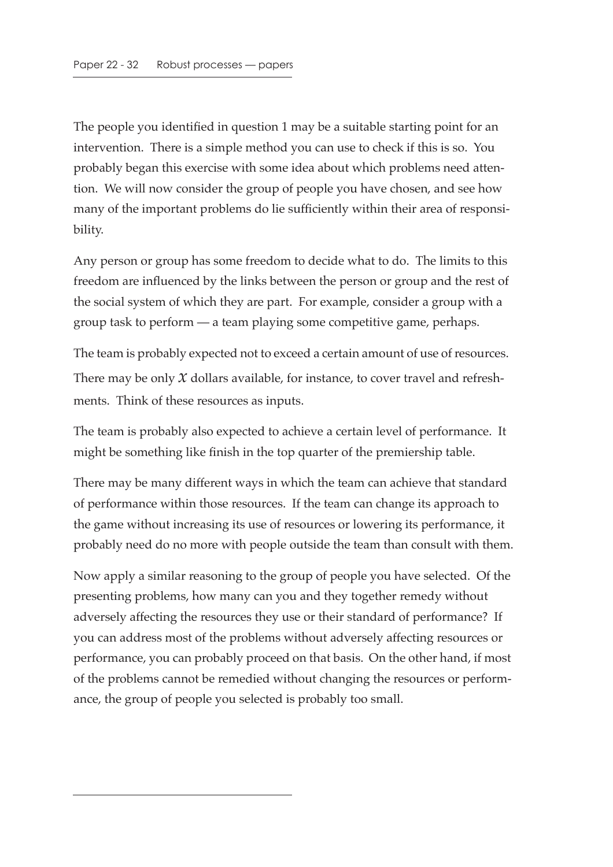The people you identified in question 1 may be a suitable starting point for an intervention. There is a simple method you can use to check if this is so. You probably began this exercise with some idea about which problems need attention. We will now consider the group of people you have chosen, and see how many of the important problems do lie sufficiently within their area of responsibility.

Any person or group has some freedom to decide what to do. The limits to this freedom are influenced by the links between the person or group and the rest of the social system of which they are part. For example, consider a group with a group task to perform — a team playing some competitive game, perhaps.

The team is probably expected not to exceed a certain amount of use of resources. There may be only  $\chi$  dollars available, for instance, to cover travel and refreshments. Think of these resources as inputs.

The team is probably also expected to achieve a certain level of performance. It might be something like finish in the top quarter of the premiership table.

There may be many different ways in which the team can achieve that standard of performance within those resources. If the team can change its approach to the game without increasing its use of resources or lowering its performance, it probably need do no more with people outside the team than consult with them.

Now apply a similar reasoning to the group of people you have selected. Of the presenting problems, how many can you and they together remedy without adversely affecting the resources they use or their standard of performance? If you can address most of the problems without adversely affecting resources or performance, you can probably proceed on that basis. On the other hand, if most of the problems cannot be remedied without changing the resources or performance, the group of people you selected is probably too small.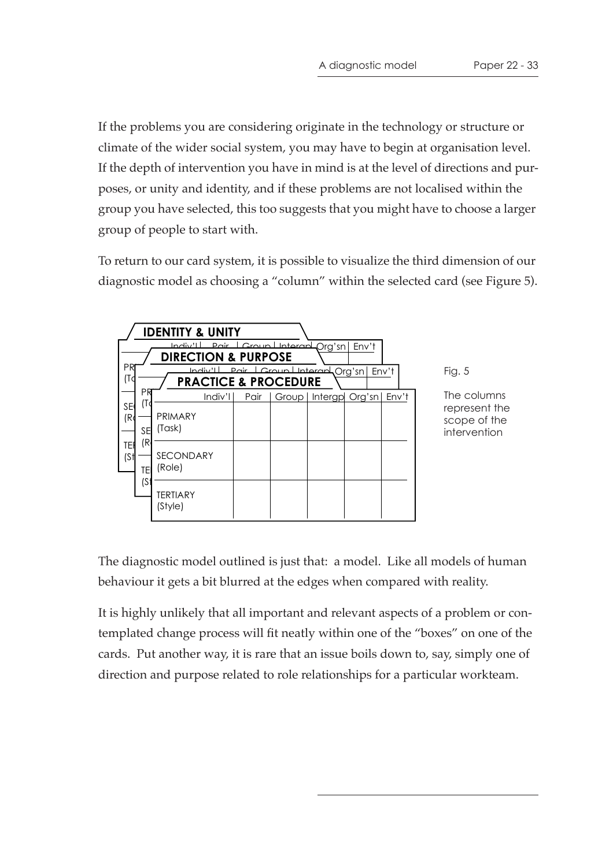If the problems you are considering originate in the technology or structure or climate of the wider social system, you may have to begin at organisation level. If the depth of intervention you have in mind is at the level of directions and purposes, or unity and identity, and if these problems are not localised within the group you have selected, this too suggests that you might have to choose a larger group of people to start with.

To return to our card system, it is possible to visualize the third dimension of our diagnostic model as choosing a "column" within the selected card (see Figure 5).

| <b>IDENTITY &amp; UNITY</b>                                                                  |                        |                            |        |      |  |  |                      |       |  |
|----------------------------------------------------------------------------------------------|------------------------|----------------------------|--------|------|--|--|----------------------|-------|--|
| Pair Croup Interart Org'sn<br>السائم والمسل<br>Env't<br><b>DIRECTION &amp; PURPOSE</b>       |                        |                            |        |      |  |  |                      |       |  |
| ΡR<br>Indiv'll Pair Croup Interary Org'sn<br>Env't<br>(Tc<br><b>PRACTICE &amp; PROCEDURE</b> |                        |                            |        |      |  |  |                      |       |  |
| <b>SE</b><br>(Ro                                                                             | ΡR<br>(To<br><b>SE</b> | PRIMARY<br>(Task)          | Indiv' | Pair |  |  | Group Intergp Org'sn | Env't |  |
| TEI<br>(S <sup>†</sup> )                                                                     | (R<br>TE<br>(S         | <b>SECONDARY</b><br>(Role) |        |      |  |  |                      |       |  |
|                                                                                              |                        | <b>TERTIARY</b><br>(Style) |        |      |  |  |                      |       |  |

Fig. 5

The columns represent the scope of the intervention

The diagnostic model outlined is just that: a model. Like all models of human behaviour it gets a bit blurred at the edges when compared with reality.

It is highly unlikely that all important and relevant aspects of a problem or contemplated change process will fit neatly within one of the "boxes" on one of the cards. Put another way, it is rare that an issue boils down to, say, simply one of direction and purpose related to role relationships for a particular workteam.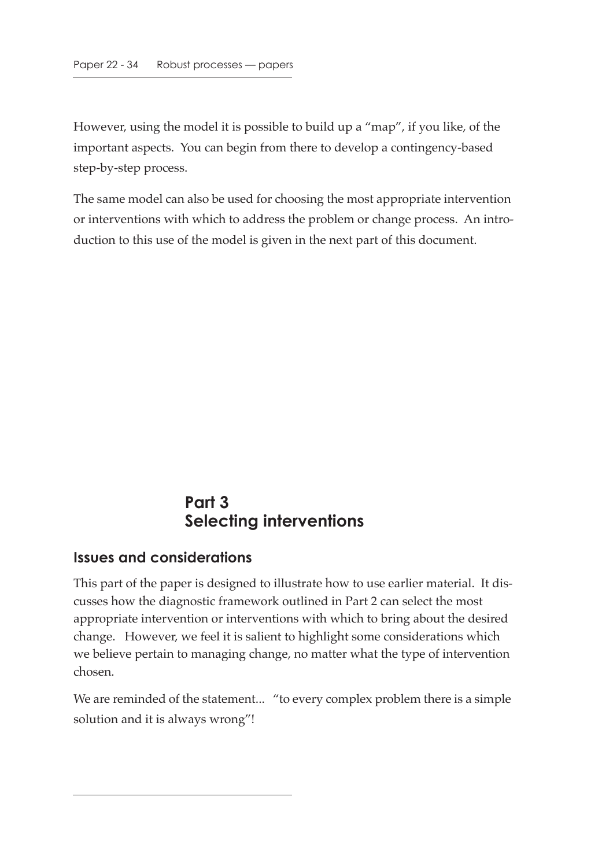However, using the model it is possible to build up a "map", if you like, of the important aspects. You can begin from there to develop a contingency-based step-by-step process.

The same model can also be used for choosing the most appropriate intervention or interventions with which to address the problem or change process. An introduction to this use of the model is given in the next part of this document.

### **Part 3 Selecting interventions**

#### **Issues and considerations**

This part of the paper is designed to illustrate how to use earlier material. It discusses how the diagnostic framework outlined in Part 2 can select the most appropriate intervention or interventions with which to bring about the desired change. However, we feel it is salient to highlight some considerations which we believe pertain to managing change, no matter what the type of intervention chosen.

We are reminded of the statement... "to every complex problem there is a simple solution and it is always wrong"!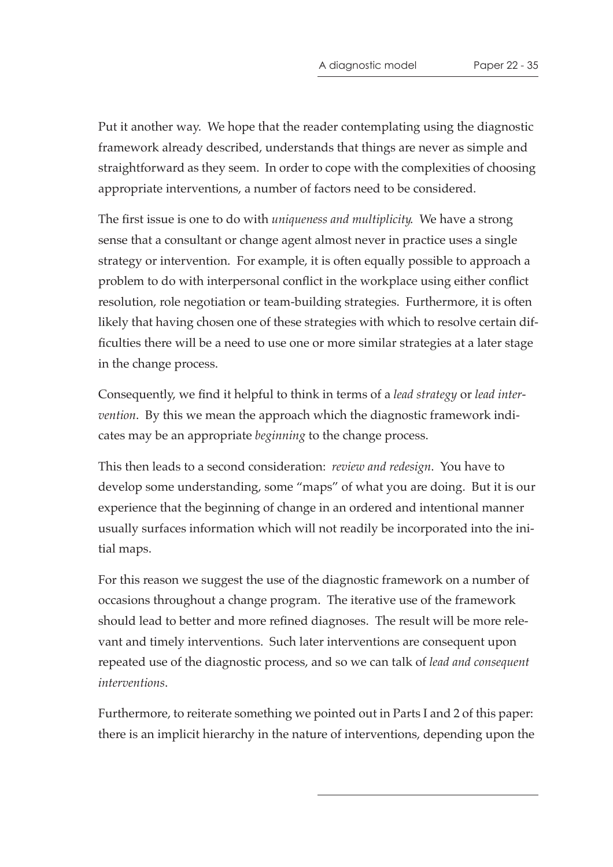Put it another way. We hope that the reader contemplating using the diagnostic framework already described, understands that things are never as simple and straightforward as they seem. In order to cope with the complexities of choosing appropriate interventions, a number of factors need to be considered.

The first issue is one to do with *uniqueness and multiplicity*. We have a strong sense that a consultant or change agent almost never in practice uses a single strategy or intervention. For example, it is often equally possible to approach a problem to do with interpersonal conflict in the workplace using either conflict resolution, role negotiation or team-building strategies. Furthermore, it is often likely that having chosen one of these strategies with which to resolve certain difficulties there will be a need to use one or more similar strategies at a later stage in the change process.

Consequently, we find it helpful to think in terms of a *lead strategy* or *lead intervention*. By this we mean the approach which the diagnostic framework indicates may be an appropriate *beginning* to the change process.

This then leads to a second consideration: *review and redesign*. You have to develop some understanding, some "maps" of what you are doing. But it is our experience that the beginning of change in an ordered and intentional manner usually surfaces information which will not readily be incorporated into the initial maps.

For this reason we suggest the use of the diagnostic framework on a number of occasions throughout a change program. The iterative use of the framework should lead to better and more refined diagnoses. The result will be more relevant and timely interventions. Such later interventions are consequent upon repeated use of the diagnostic process, and so we can talk of *lead and consequent interventions*.

Furthermore, to reiterate something we pointed out in Parts I and 2 of this paper: there is an implicit hierarchy in the nature of interventions, depending upon the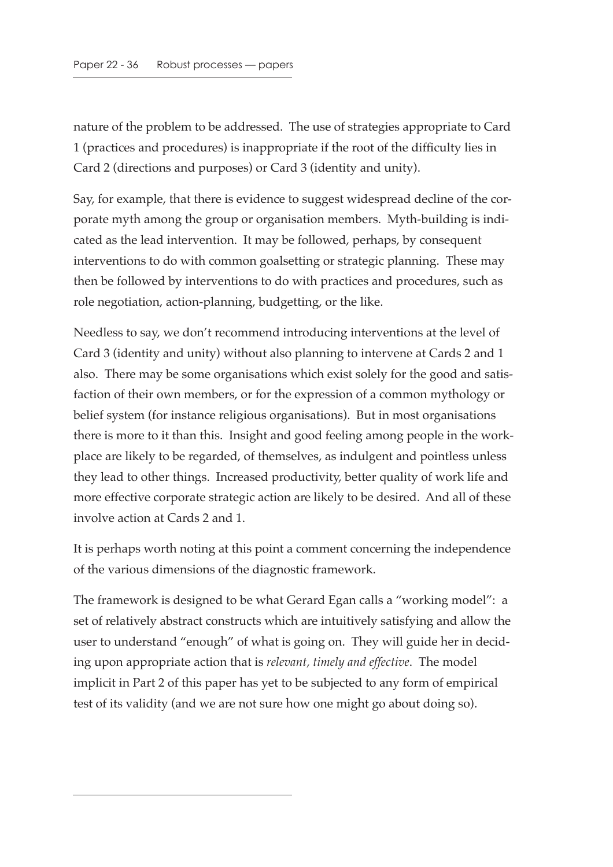nature of the problem to be addressed. The use of strategies appropriate to Card 1 (practices and procedures) is inappropriate if the root of the difficulty lies in Card 2 (directions and purposes) or Card 3 (identity and unity).

Say, for example, that there is evidence to suggest widespread decline of the corporate myth among the group or organisation members. Myth-building is indicated as the lead intervention. It may be followed, perhaps, by consequent interventions to do with common goalsetting or strategic planning. These may then be followed by interventions to do with practices and procedures, such as role negotiation, action-planning, budgetting, or the like.

Needless to say, we don't recommend introducing interventions at the level of Card 3 (identity and unity) without also planning to intervene at Cards 2 and 1 also. There may be some organisations which exist solely for the good and satisfaction of their own members, or for the expression of a common mythology or belief system (for instance religious organisations). But in most organisations there is more to it than this. Insight and good feeling among people in the workplace are likely to be regarded, of themselves, as indulgent and pointless unless they lead to other things. Increased productivity, better quality of work life and more effective corporate strategic action are likely to be desired. And all of these involve action at Cards 2 and 1.

It is perhaps worth noting at this point a comment concerning the independence of the various dimensions of the diagnostic framework.

The framework is designed to be what Gerard Egan calls a "working model": a set of relatively abstract constructs which are intuitively satisfying and allow the user to understand "enough" of what is going on. They will guide her in deciding upon appropriate action that is *relevant, timely and effective*. The model implicit in Part 2 of this paper has yet to be subjected to any form of empirical test of its validity (and we are not sure how one might go about doing so).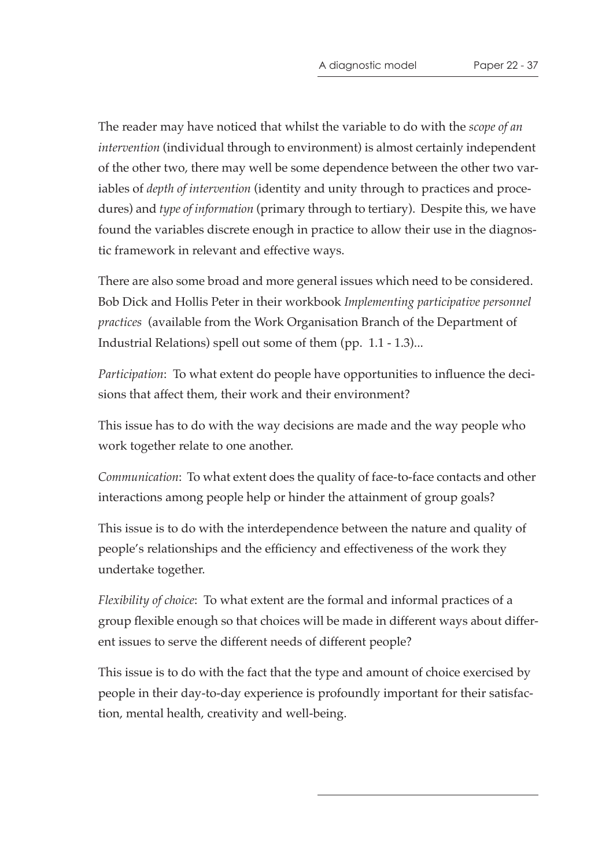The reader may have noticed that whilst the variable to do with the *scope of an intervention* (individual through to environment) is almost certainly independent of the other two, there may well be some dependence between the other two variables of *depth of intervention* (identity and unity through to practices and procedures) and *type of information* (primary through to tertiary). Despite this, we have found the variables discrete enough in practice to allow their use in the diagnostic framework in relevant and effective ways.

There are also some broad and more general issues which need to be considered. Bob Dick and Hollis Peter in their workbook *Implementing participative personnel practices* (available from the Work Organisation Branch of the Department of Industrial Relations) spell out some of them (pp. 1.1 - 1.3)...

*Participation*: To what extent do people have opportunities to influence the decisions that affect them, their work and their environment?

This issue has to do with the way decisions are made and the way people who work together relate to one another.

*Communication*: To what extent does the quality of face-to-face contacts and other interactions among people help or hinder the attainment of group goals?

This issue is to do with the interdependence between the nature and quality of people's relationships and the efficiency and effectiveness of the work they undertake together.

*Flexibility of choice*: To what extent are the formal and informal practices of a group flexible enough so that choices will be made in different ways about different issues to serve the different needs of different people?

This issue is to do with the fact that the type and amount of choice exercised by people in their day-to-day experience is profoundly important for their satisfaction, mental health, creativity and well-being.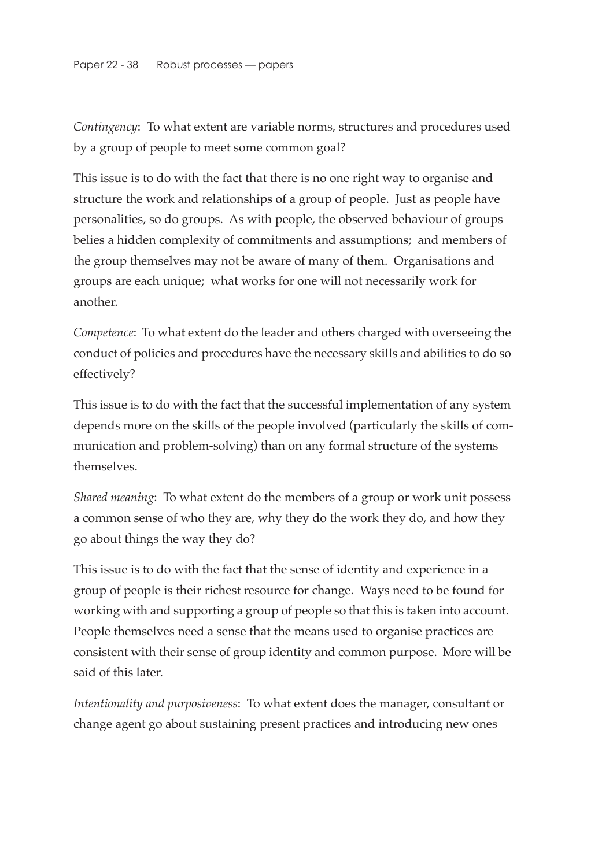*Contingency*: To what extent are variable norms, structures and procedures used by a group of people to meet some common goal?

This issue is to do with the fact that there is no one right way to organise and structure the work and relationships of a group of people. Just as people have personalities, so do groups. As with people, the observed behaviour of groups belies a hidden complexity of commitments and assumptions; and members of the group themselves may not be aware of many of them. Organisations and groups are each unique; what works for one will not necessarily work for another.

*Competence*: To what extent do the leader and others charged with overseeing the conduct of policies and procedures have the necessary skills and abilities to do so effectively?

This issue is to do with the fact that the successful implementation of any system depends more on the skills of the people involved (particularly the skills of communication and problem-solving) than on any formal structure of the systems themselves.

*Shared meaning*: To what extent do the members of a group or work unit possess a common sense of who they are, why they do the work they do, and how they go about things the way they do?

This issue is to do with the fact that the sense of identity and experience in a group of people is their richest resource for change. Ways need to be found for working with and supporting a group of people so that this is taken into account. People themselves need a sense that the means used to organise practices are consistent with their sense of group identity and common purpose. More will be said of this later.

*Intentionality and purposiveness*: To what extent does the manager, consultant or change agent go about sustaining present practices and introducing new ones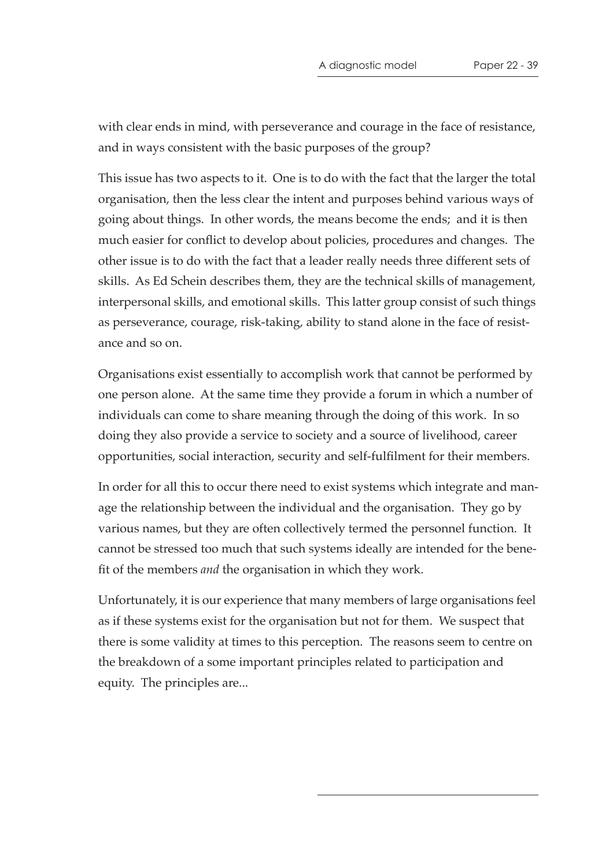with clear ends in mind, with perseverance and courage in the face of resistance, and in ways consistent with the basic purposes of the group?

This issue has two aspects to it. One is to do with the fact that the larger the total organisation, then the less clear the intent and purposes behind various ways of going about things. In other words, the means become the ends; and it is then much easier for conflict to develop about policies, procedures and changes. The other issue is to do with the fact that a leader really needs three different sets of skills. As Ed Schein describes them, they are the technical skills of management, interpersonal skills, and emotional skills. This latter group consist of such things as perseverance, courage, risk-taking, ability to stand alone in the face of resistance and so on.

Organisations exist essentially to accomplish work that cannot be performed by one person alone. At the same time they provide a forum in which a number of individuals can come to share meaning through the doing of this work. In so doing they also provide a service to society and a source of livelihood, career opportunities, social interaction, security and self-fulfilment for their members.

In order for all this to occur there need to exist systems which integrate and manage the relationship between the individual and the organisation. They go by various names, but they are often collectively termed the personnel function. It cannot be stressed too much that such systems ideally are intended for the benefit of the members *and* the organisation in which they work.

Unfortunately, it is our experience that many members of large organisations feel as if these systems exist for the organisation but not for them. We suspect that there is some validity at times to this perception. The reasons seem to centre on the breakdown of a some important principles related to participation and equity. The principles are...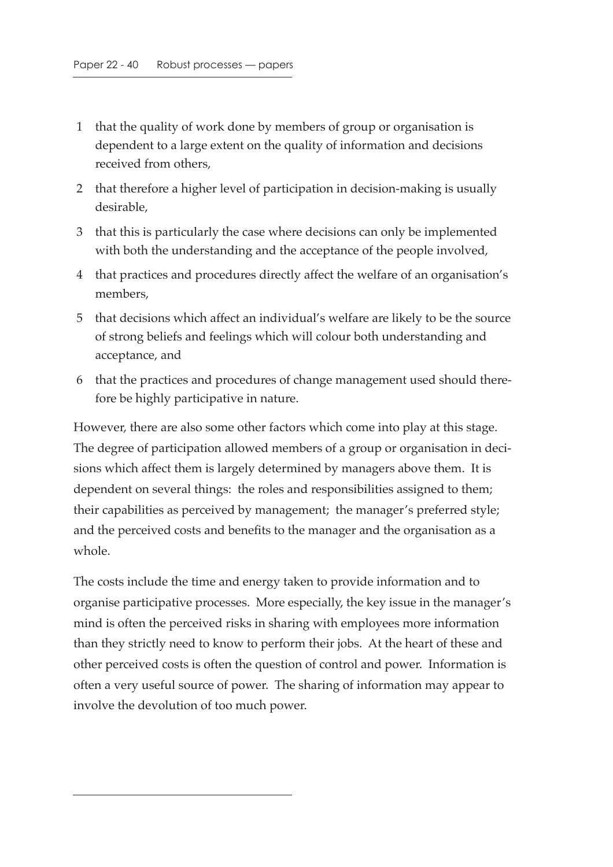- 1 that the quality of work done by members of group or organisation is dependent to a large extent on the quality of information and decisions received from others,
- 2 that therefore a higher level of participation in decision-making is usually desirable,
- 3 that this is particularly the case where decisions can only be implemented with both the understanding and the acceptance of the people involved,
- 4 that practices and procedures directly affect the welfare of an organisation's members,
- 5 that decisions which affect an individual's welfare are likely to be the source of strong beliefs and feelings which will colour both understanding and acceptance, and
- 6 that the practices and procedures of change management used should therefore be highly participative in nature.

However, there are also some other factors which come into play at this stage. The degree of participation allowed members of a group or organisation in decisions which affect them is largely determined by managers above them. It is dependent on several things: the roles and responsibilities assigned to them; their capabilities as perceived by management; the manager's preferred style; and the perceived costs and benefits to the manager and the organisation as a whole.

The costs include the time and energy taken to provide information and to organise participative processes. More especially, the key issue in the manager's mind is often the perceived risks in sharing with employees more information than they strictly need to know to perform their jobs. At the heart of these and other perceived costs is often the question of control and power. Information is often a very useful source of power. The sharing of information may appear to involve the devolution of too much power.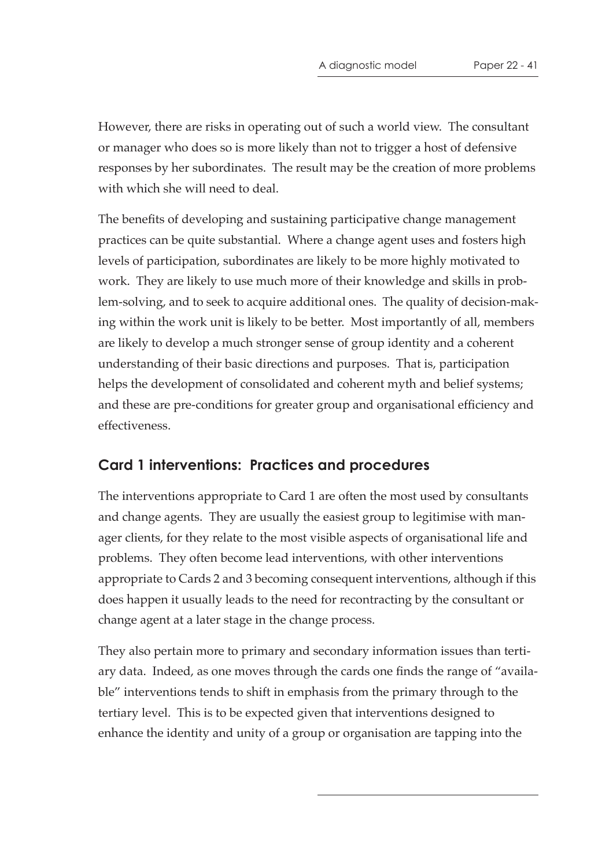However, there are risks in operating out of such a world view. The consultant or manager who does so is more likely than not to trigger a host of defensive responses by her subordinates. The result may be the creation of more problems with which she will need to deal.

The benefits of developing and sustaining participative change management practices can be quite substantial. Where a change agent uses and fosters high levels of participation, subordinates are likely to be more highly motivated to work. They are likely to use much more of their knowledge and skills in problem-solving, and to seek to acquire additional ones. The quality of decision-making within the work unit is likely to be better. Most importantly of all, members are likely to develop a much stronger sense of group identity and a coherent understanding of their basic directions and purposes. That is, participation helps the development of consolidated and coherent myth and belief systems; and these are pre-conditions for greater group and organisational efficiency and effectiveness.

#### **Card 1 interventions: Practices and procedures**

The interventions appropriate to Card 1 are often the most used by consultants and change agents. They are usually the easiest group to legitimise with manager clients, for they relate to the most visible aspects of organisational life and problems. They often become lead interventions, with other interventions appropriate to Cards 2 and 3 becoming consequent interventions, although if this does happen it usually leads to the need for recontracting by the consultant or change agent at a later stage in the change process.

They also pertain more to primary and secondary information issues than tertiary data. Indeed, as one moves through the cards one finds the range of "available" interventions tends to shift in emphasis from the primary through to the tertiary level. This is to be expected given that interventions designed to enhance the identity and unity of a group or organisation are tapping into the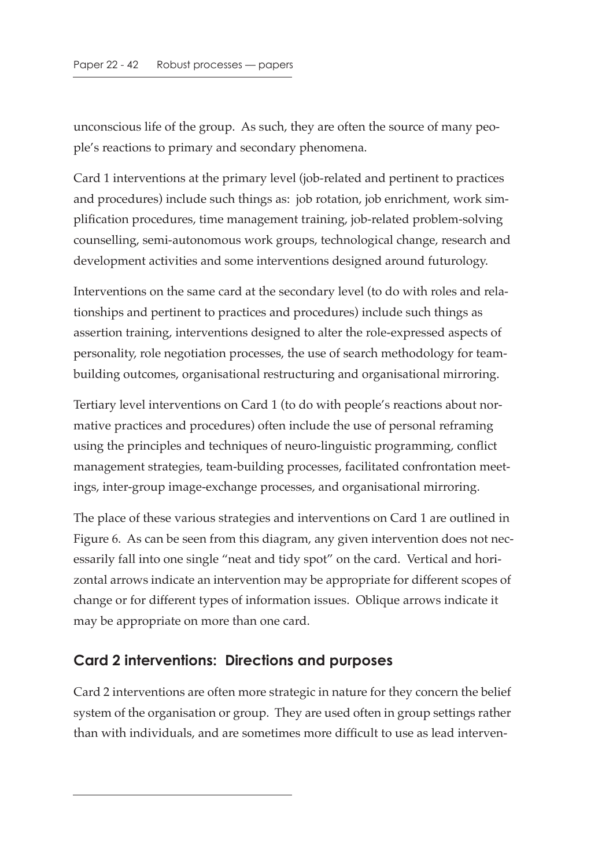unconscious life of the group. As such, they are often the source of many people's reactions to primary and secondary phenomena.

Card 1 interventions at the primary level (job-related and pertinent to practices and procedures) include such things as: job rotation, job enrichment, work simplification procedures, time management training, job-related problem-solving counselling, semi-autonomous work groups, technological change, research and development activities and some interventions designed around futurology.

Interventions on the same card at the secondary level (to do with roles and relationships and pertinent to practices and procedures) include such things as assertion training, interventions designed to alter the role-expressed aspects of personality, role negotiation processes, the use of search methodology for teambuilding outcomes, organisational restructuring and organisational mirroring.

Tertiary level interventions on Card 1 (to do with people's reactions about normative practices and procedures) often include the use of personal reframing using the principles and techniques of neuro-linguistic programming, conflict management strategies, team-building processes, facilitated confrontation meetings, inter-group image-exchange processes, and organisational mirroring.

The place of these various strategies and interventions on Card 1 are outlined in Figure 6. As can be seen from this diagram, any given intervention does not necessarily fall into one single "neat and tidy spot" on the card. Vertical and horizontal arrows indicate an intervention may be appropriate for different scopes of change or for different types of information issues. Oblique arrows indicate it may be appropriate on more than one card.

#### **Card 2 interventions: Directions and purposes**

Card 2 interventions are often more strategic in nature for they concern the belief system of the organisation or group. They are used often in group settings rather than with individuals, and are sometimes more difficult to use as lead interven-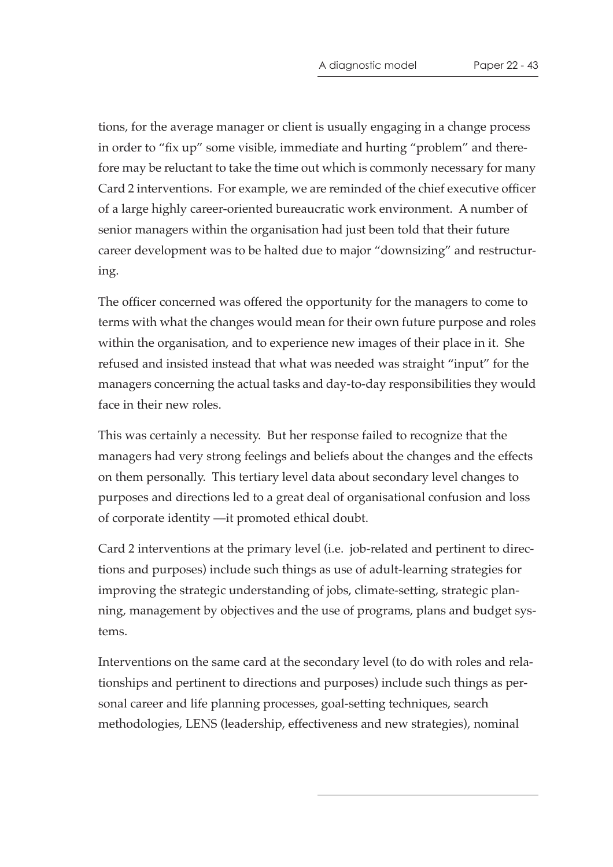tions, for the average manager or client is usually engaging in a change process in order to "fix up" some visible, immediate and hurting "problem" and therefore may be reluctant to take the time out which is commonly necessary for many Card 2 interventions. For example, we are reminded of the chief executive officer of a large highly career-oriented bureaucratic work environment. A number of senior managers within the organisation had just been told that their future career development was to be halted due to major "downsizing" and restructuring.

The officer concerned was offered the opportunity for the managers to come to terms with what the changes would mean for their own future purpose and roles within the organisation, and to experience new images of their place in it. She refused and insisted instead that what was needed was straight "input" for the managers concerning the actual tasks and day-to-day responsibilities they would face in their new roles.

This was certainly a necessity. But her response failed to recognize that the managers had very strong feelings and beliefs about the changes and the effects on them personally. This tertiary level data about secondary level changes to purposes and directions led to a great deal of organisational confusion and loss of corporate identity —it promoted ethical doubt.

Card 2 interventions at the primary level (i.e. job-related and pertinent to directions and purposes) include such things as use of adult-learning strategies for improving the strategic understanding of jobs, climate-setting, strategic planning, management by objectives and the use of programs, plans and budget systems.

Interventions on the same card at the secondary level (to do with roles and relationships and pertinent to directions and purposes) include such things as personal career and life planning processes, goal-setting techniques, search methodologies, LENS (leadership, effectiveness and new strategies), nominal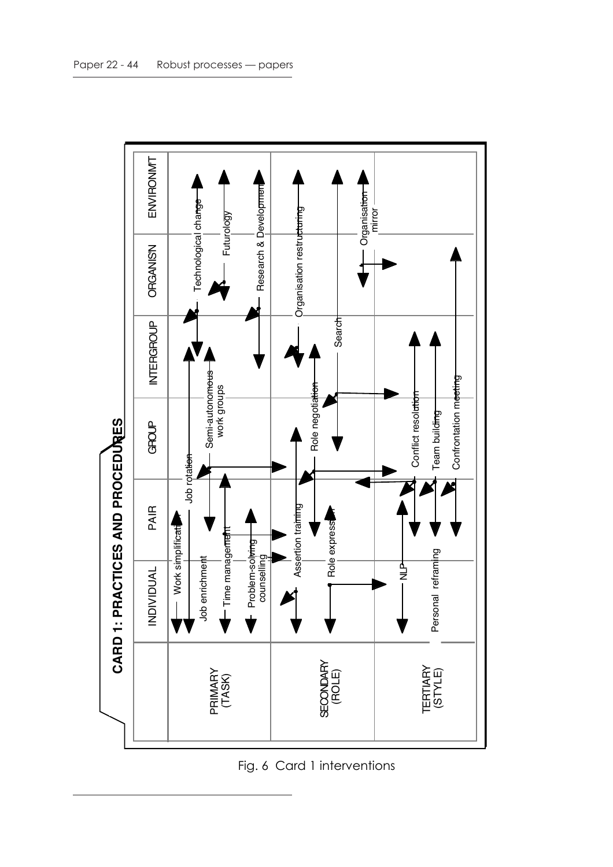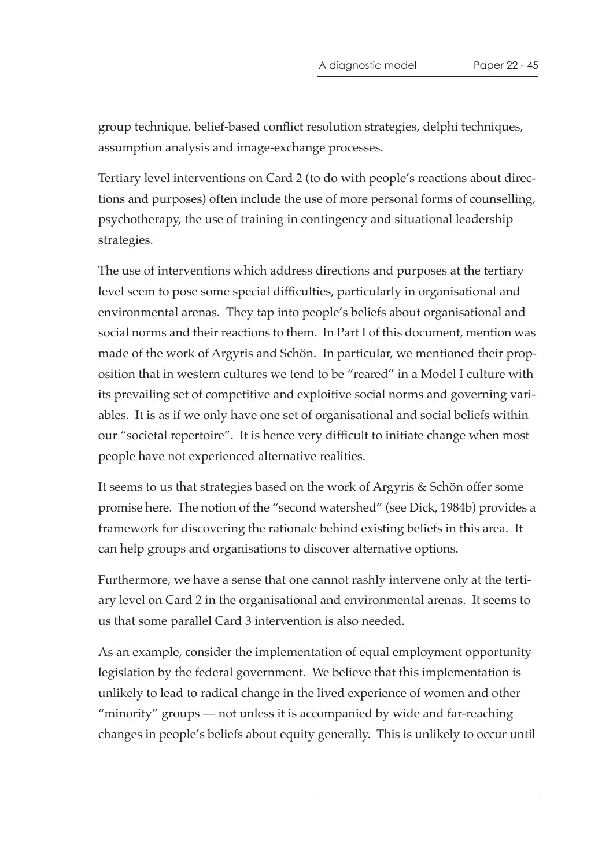group technique, belief-based conflict resolution strategies, delphi techniques, assumption analysis and image-exchange processes.

Tertiary level interventions on Card 2 (to do with people's reactions about directions and purposes) often include the use of more personal forms of counselling, psychotherapy, the use of training in contingency and situational leadership strategies.

The use of interventions which address directions and purposes at the tertiary level seem to pose some special difficulties, particularly in organisational and environmental arenas. They tap into people's beliefs about organisational and social norms and their reactions to them. In Part I of this document, mention was made of the work of Argyris and Schön. In particular, we mentioned their proposition that in western cultures we tend to be "reared" in a Model I culture with its prevailing set of competitive and exploitive social norms and governing variables. It is as if we only have one set of organisational and social beliefs within our "societal repertoire". It is hence very difficult to initiate change when most people have not experienced alternative realities.

It seems to us that strategies based on the work of Argyris & Schön offer some promise here. The notion of the "second watershed" (see Dick, 1984b) provides a framework for discovering the rationale behind existing beliefs in this area. It can help groups and organisations to discover alternative options.

Furthermore, we have a sense that one cannot rashly intervene only at the tertiary level on Card 2 in the organisational and environmental arenas. It seems to us that some parallel Card 3 intervention is also needed.

As an example, consider the implementation of equal employment opportunity legislation by the federal government. We believe that this implementation is unlikely to lead to radical change in the lived experience of women and other "minority" groups — not unless it is accompanied by wide and far-reaching changes in people's beliefs about equity generally. This is unlikely to occur until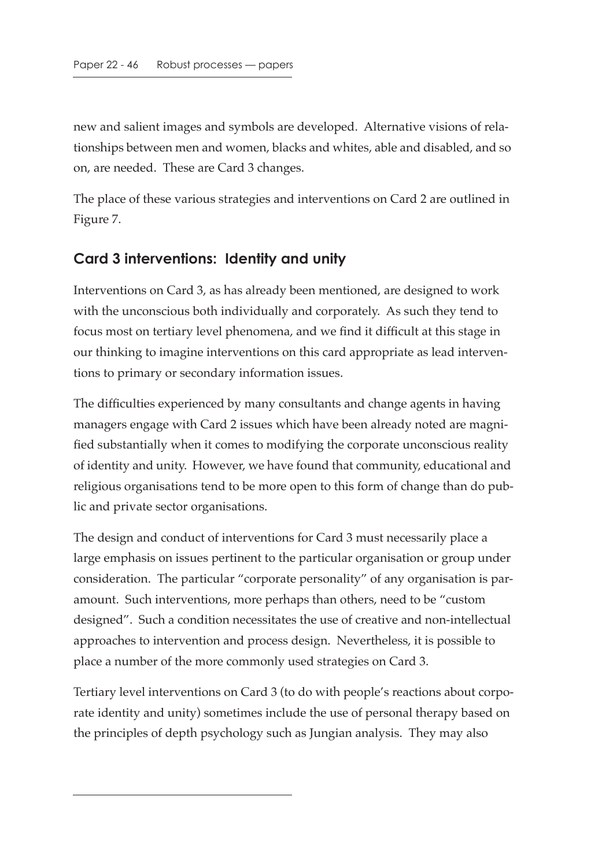new and salient images and symbols are developed. Alternative visions of relationships between men and women, blacks and whites, able and disabled, and so on, are needed. These are Card 3 changes.

The place of these various strategies and interventions on Card 2 are outlined in Figure 7.

#### **Card 3 interventions: Identity and unity**

Interventions on Card 3, as has already been mentioned, are designed to work with the unconscious both individually and corporately. As such they tend to focus most on tertiary level phenomena, and we find it difficult at this stage in our thinking to imagine interventions on this card appropriate as lead interventions to primary or secondary information issues.

The difficulties experienced by many consultants and change agents in having managers engage with Card 2 issues which have been already noted are magnified substantially when it comes to modifying the corporate unconscious reality of identity and unity. However, we have found that community, educational and religious organisations tend to be more open to this form of change than do public and private sector organisations.

The design and conduct of interventions for Card 3 must necessarily place a large emphasis on issues pertinent to the particular organisation or group under consideration. The particular "corporate personality" of any organisation is paramount. Such interventions, more perhaps than others, need to be "custom designed". Such a condition necessitates the use of creative and non-intellectual approaches to intervention and process design. Nevertheless, it is possible to place a number of the more commonly used strategies on Card 3.

Tertiary level interventions on Card 3 (to do with people's reactions about corporate identity and unity) sometimes include the use of personal therapy based on the principles of depth psychology such as Jungian analysis. They may also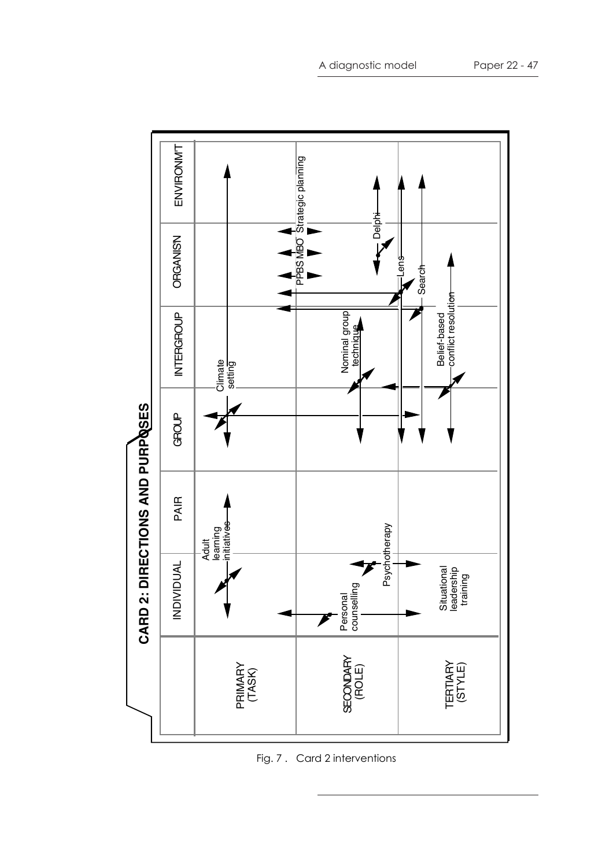

Fig. 7 . Card 2 interventions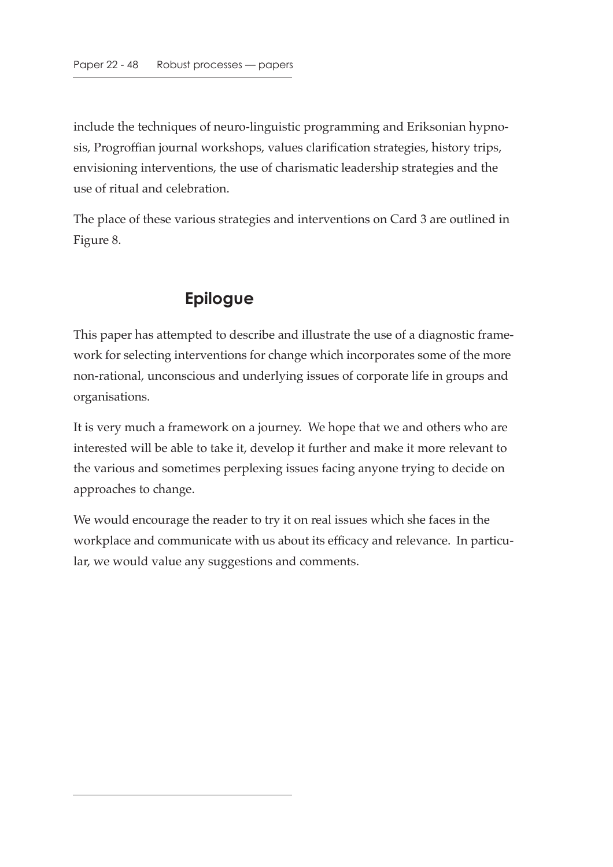include the techniques of neuro-linguistic programming and Eriksonian hypnosis, Progroffian journal workshops, values clarification strategies, history trips, envisioning interventions, the use of charismatic leadership strategies and the use of ritual and celebration.

The place of these various strategies and interventions on Card 3 are outlined in Figure 8.

## **Epilogue**

This paper has attempted to describe and illustrate the use of a diagnostic framework for selecting interventions for change which incorporates some of the more non-rational, unconscious and underlying issues of corporate life in groups and organisations.

It is very much a framework on a journey. We hope that we and others who are interested will be able to take it, develop it further and make it more relevant to the various and sometimes perplexing issues facing anyone trying to decide on approaches to change.

We would encourage the reader to try it on real issues which she faces in the workplace and communicate with us about its efficacy and relevance. In particular, we would value any suggestions and comments.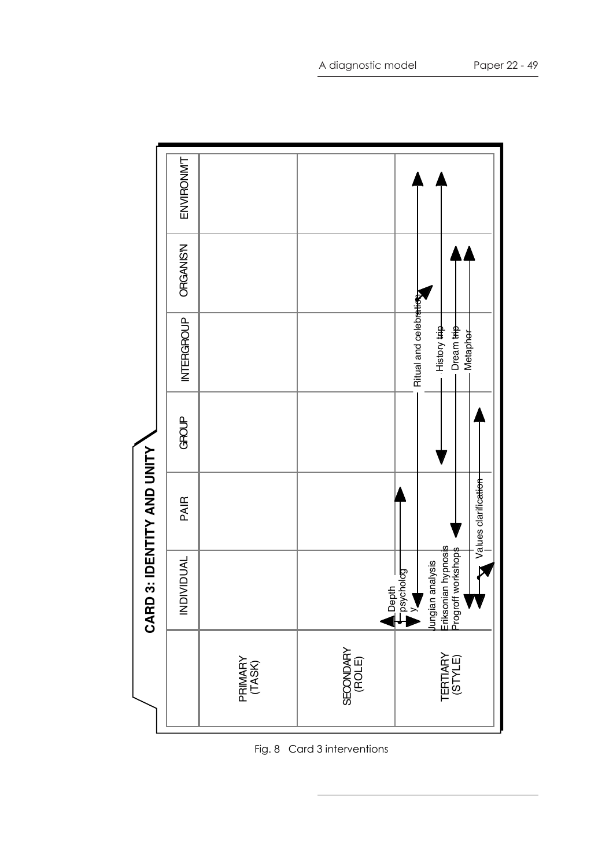

Fig. 8 Card 3 interventions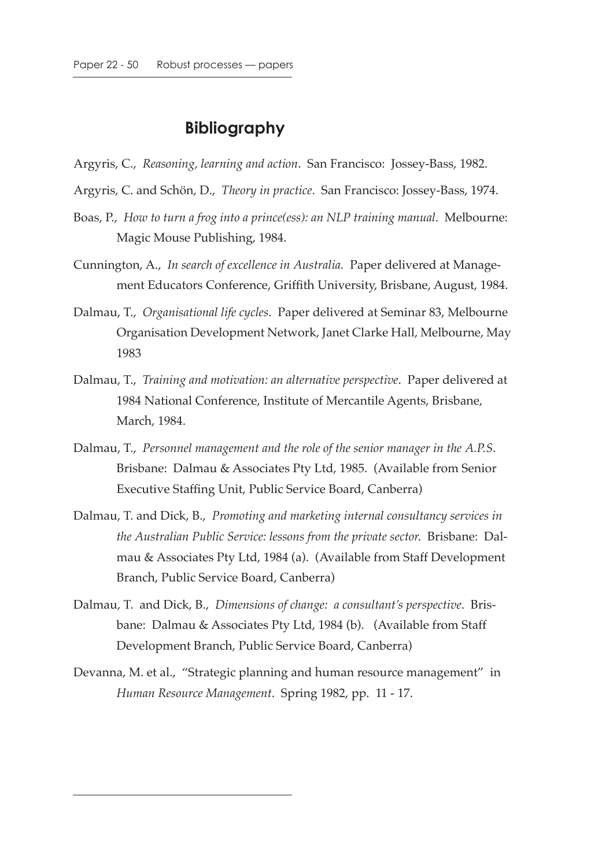#### **Bibliography**

- Argyris, C., *Reasoning, learning and action*. San Francisco: Jossey-Bass, 1982.
- Argyris, C. and Schön, D., *Theory in practice*. San Francisco: Jossey-Bass, 1974.
- Boas, P., *How to turn a frog into a prince(ess): an NLP training manual*. Melbourne: Magic Mouse Publishing, 1984.
- Cunnington, A., *In search of excellence in Australia*. Paper delivered at Management Educators Conference, Griffith University, Brisbane, August, 1984.
- Dalmau, T., *Organisational life cycles*. Paper delivered at Seminar 83, Melbourne Organisation Development Network, Janet Clarke Hall, Melbourne, May 1983
- Dalmau, T., *Training and motivation: an alternative perspective*. Paper delivered at 1984 National Conference, Institute of Mercantile Agents, Brisbane, March, 1984.
- Dalmau, T., *Personnel management and the role of the senior manager in the A.P.S*. Brisbane: Dalmau & Associates Pty Ltd, 1985. (Available from Senior Executive Staffing Unit, Public Service Board, Canberra)
- Dalmau, T. and Dick, B., *Promoting and marketing internal consultancy services in the Australian Public Service: lessons from the private sector*. Brisbane: Dalmau & Associates Pty Ltd, 1984 (a). (Available from Staff Development Branch, Public Service Board, Canberra)
- Dalmau, T. and Dick, B., *Dimensions of change: a consultant's perspective*. Brisbane: Dalmau & Associates Pty Ltd, 1984 (b). (Available from Staff Development Branch, Public Service Board, Canberra)
- Devanna, M. et al., "Strategic planning and human resource management" in *Human Resource Management*. Spring 1982, pp. 11 - 17.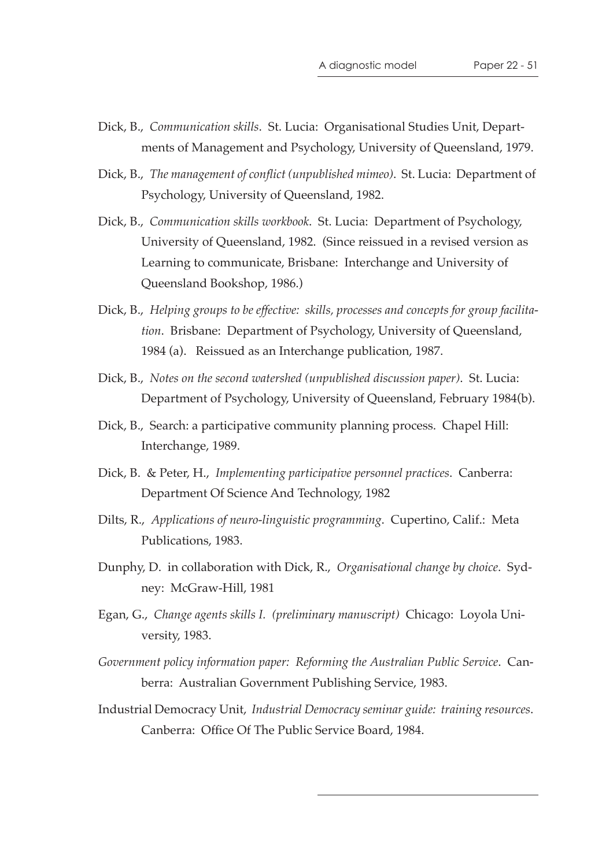- Dick, B., *Communication skills*. St. Lucia: Organisational Studies Unit, Departments of Management and Psychology, University of Queensland, 1979.
- Dick, B., *The management of conflict (unpublished mimeo)*. St. Lucia: Department of Psychology, University of Queensland, 1982.
- Dick, B., *Communication skills workbook*. St. Lucia: Department of Psychology, University of Queensland, 1982. (Since reissued in a revised version as Learning to communicate, Brisbane: Interchange and University of Queensland Bookshop, 1986.)
- Dick, B., *Helping groups to be effective: skills, processes and concepts for group facilitation*. Brisbane: Department of Psychology, University of Queensland, 1984 (a). Reissued as an Interchange publication, 1987.
- Dick, B., *Notes on the second watershed (unpublished discussion paper)*. St. Lucia: Department of Psychology, University of Queensland, February 1984(b).
- Dick, B., Search: a participative community planning process. Chapel Hill: Interchange, 1989.
- Dick, B. & Peter, H., *Implementing participative personnel practices*. Canberra: Department Of Science And Technology, 1982
- Dilts, R., *Applications of neuro-linguistic programming*. Cupertino, Calif.: Meta Publications, 1983.
- Dunphy, D. in collaboration with Dick, R., *Organisational change by choice*. Sydney: McGraw-Hill, 1981
- Egan, G., *Change agents skills I. (preliminary manuscript)* Chicago: Loyola University, 1983.
- *Government policy information paper: Reforming the Australian Public Service*. Canberra: Australian Government Publishing Service, 1983.
- Industrial Democracy Unit, *Industrial Democracy seminar guide: training resources*. Canberra: Office Of The Public Service Board, 1984.